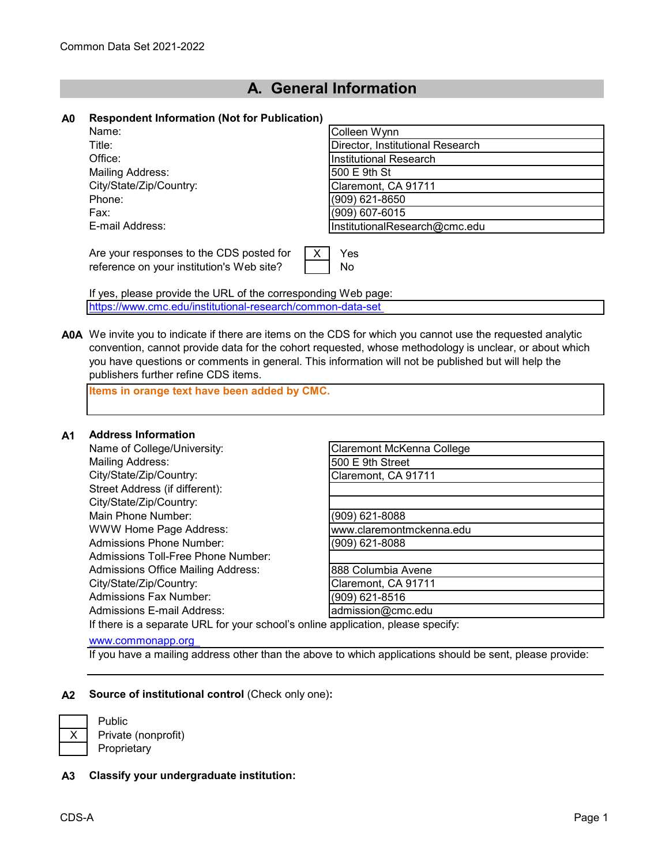# **A. General Information**

### **A0 Respondent Information (Not for Publication)**

| Name:                                                                                       | Colleen Wynn                     |
|---------------------------------------------------------------------------------------------|----------------------------------|
| Title:                                                                                      | Director, Institutional Research |
| Office:                                                                                     | Institutional Research           |
| Mailing Address:                                                                            | 500 E 9th St                     |
| City/State/Zip/Country:                                                                     | Claremont, CA 91711              |
| Phone:                                                                                      | (909) 621-8650                   |
| Fax:                                                                                        | (909) 607-6015                   |
| E-mail Address:                                                                             | InstitutionalResearch@cmc.edu    |
| Are your responses to the CDS posted for<br>X.<br>reference on your institution's Web site? | Yes<br>No                        |

If yes, please provide the URL of the corresponding Web page: <https://www.cmc.edu/institutional-research/common-data-set>

**A0A** We invite you to indicate if there are items on the CDS for which you cannot use the requested analytic convention, cannot provide data for the cohort requested, whose methodology is unclear, or about which you have questions or comments in general. This information will not be published but will help the publishers further refine CDS items.

**Items in orange text have been added by CMC.**

#### **A1 Address Information**

Name of College/University: Mailing Address: City/State/Zip/Country: Street Address (if different): City/State/Zip/Country: Main Phone Number: WWW Home Page Address: Admissions Phone Number: Admissions Toll-Free Phone Number: Admissions Office Mailing Address: City/State/Zip/Country: Admissions Fax Number: Admissions E-mail Address: and admission@cmuslementsion@cmc.edu

| Claremont McKenna College |  |
|---------------------------|--|
| 500 E 9th Street          |  |
| Claremont, CA 91711       |  |
|                           |  |
|                           |  |
| $(909)$ 621-8088          |  |
| www.claremontmckenna.edu  |  |
| (909) 621-8088            |  |
|                           |  |
| 888 Columbia Avene        |  |
| Claremont, CA 91711       |  |
| (909) 621-8516            |  |
| admission@cmc.edu         |  |

If there is a separate URL for your school's online application, please specify:

#### [www.commonapp.org](http://www.commonapp.org/)

If you have a mailing address other than the above to which applications should be sent, please provide:

## **A2 Source of institutional control** (Check only one)**:**

Public Private (nonprofit) Proprietary

# **A3 Classify your undergraduate institution:**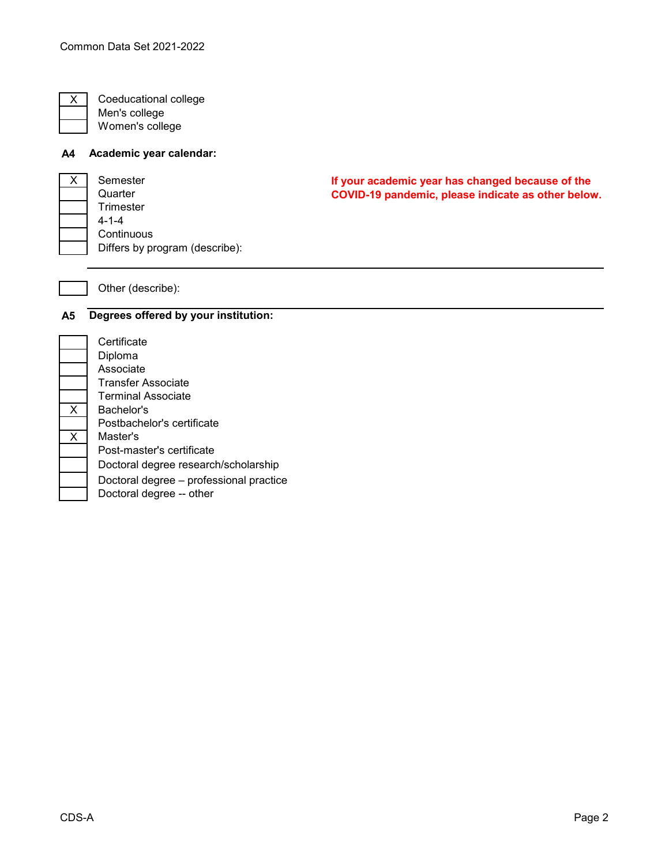Coeducational college Men's college Women's college

# **A4 Academic year calendar:**

| x | Semester                       |
|---|--------------------------------|
|   | Quarter                        |
|   | Trimester                      |
|   | $4 - 1 - 4$                    |
|   | Continuous                     |
|   | Differs by program (describe): |

**If your academic year has changed because of the COVID-19 pandemic, please indicate as other below.**

# Other (describe):

### **A5 Degrees offered by your institution:**

**Certificate** Diploma Associate Transfer Associate Terminal Associate Bachelor's Postbachelor's certificate Master's Post-master's certificate Doctoral degree research/scholarship Doctoral degree – professional practice Doctoral degree -- other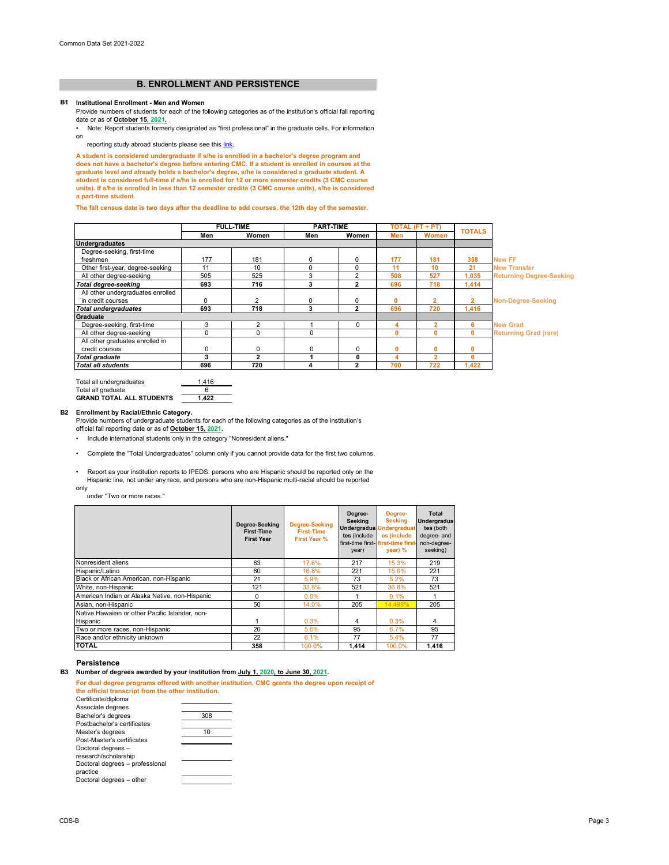| Total all undergraduates        | 1.416 |
|---------------------------------|-------|
| Total all graduate              |       |
| <b>GRAND TOTAL ALL STUDENTS</b> | 1.422 |

## **Persistence**

**B3 Number of degrees awarded by your institution from July 1, 2020, to June 30, 2021.**

### **B1 Institutional Enrollment - Men and Women**

|                                   | <b>FULL-TIME</b> |              | <b>PART-TIME</b> |              | TOTAL (FT + PT) |              | <b>TOTALS</b> |                                 |
|-----------------------------------|------------------|--------------|------------------|--------------|-----------------|--------------|---------------|---------------------------------|
|                                   | Men              | <b>Women</b> | Men              | Women        | Men             | <b>Women</b> |               |                                 |
| <b>Undergraduates</b>             |                  |              |                  |              |                 |              |               |                                 |
| Degree-seeking, first-time        |                  |              |                  |              |                 |              |               |                                 |
| freshmen                          | 177              | 181          | $\Omega$         | 0            | 177             | 181          | 358           | <b>New FF</b>                   |
| Other first-year, degree-seeking  | 11               | 10           | $\Omega$         | 0            | 11              | 10           | 21            | <b>New Transfer</b>             |
| All other degree-seeking          | 505              | 525          |                  | 2            | 508             | 527          | 1,035         | <b>Returning Degree-Seeking</b> |
| <b>Total degree-seeking</b>       | 693              | 716          |                  | 2            | 696             | 718          | 1,414         |                                 |
| All other undergraduates enrolled |                  |              |                  |              |                 |              |               |                                 |
| in credit courses                 |                  | 2            |                  | $\pmb{0}$    | 0               |              | 2             | <b>Non-Degree-Seeking</b>       |
| <b>Total undergraduates</b>       | 693              | 718          | 3                | $\mathbf{2}$ | 696             | 720          | 1,416         |                                 |
| <b>Graduate</b>                   |                  |              |                  |              |                 |              |               |                                 |
| Degree-seeking, first-time        | 3                | 2            |                  | 0            | 4               |              | 6             | <b>New Grad</b>                 |
| All other degree-seeking          | $\Omega$         | 0            | 0                |              | $\mathbf{0}$    | 0            | $\mathbf{0}$  | <b>Returning Grad (rare)</b>    |
| All other graduates enrolled in   |                  |              |                  |              |                 |              |               |                                 |
| credit courses                    | 0                | 0            | 0                | 0            | $\mathbf 0$     | 0            | 0             |                                 |
| <b>Total graduate</b>             | 3                | 2            |                  | 0            | 4               | 2            | 6             |                                 |
| <b>Total all students</b>         | 696              | 720          | 4                | 2            | 700             | 722          | 1,422         |                                 |

| Certificate/diploma             |     |
|---------------------------------|-----|
| Associate degrees               |     |
| Bachelor's degrees              | 308 |
| Postbachelor's certificates     |     |
| Master's degrees                | 10  |
| Post-Master's certificates      |     |
| Doctoral degrees -              |     |
| research/scholarship            |     |
| Doctoral degrees - professional |     |
| practice                        |     |
| Doctoral degrees - other        |     |
|                                 |     |

**For dual degree programs offered with another institution, CMC grants the degree upon receipt of the official transcript from the other institution.** 

### **B2 Enrollment by Racial/Ethnic Category.**

Provide numbers of undergraduate students for each of the following categories as of the institution's official fall reporting date or as of **October 15, 2021**.

• Report as your institution reports to IPEDS: persons who are Hispanic should be reported only on the Hispanic line, not under any race, and persons who are non-Hispanic multi-racial should be reported

only

under "Two or more races."

• Include international students only in the category "Nonresident aliens."

|                                                 | Degree-Seeking<br><b>First-Time</b><br><b>First Year</b> | <b>Degree-Seeking</b><br><b>First-Time</b><br><b>First Year %</b> | Degree-<br><b>Seeking</b><br>tes (include<br>year) | Degree-<br><b>Seeking</b><br>Undergradua Undergraduat<br>es (include<br>first-time first- first-time first<br>$\gamma$ ear) % | <b>Total</b><br>Undergradua<br>tes (both<br>degree- and<br>non-degree-<br>seeking) |
|-------------------------------------------------|----------------------------------------------------------|-------------------------------------------------------------------|----------------------------------------------------|-------------------------------------------------------------------------------------------------------------------------------|------------------------------------------------------------------------------------|
| Nonresident aliens                              | 63                                                       | 17.6%                                                             | 217                                                | 15.3%                                                                                                                         | 219                                                                                |
| Hispanic/Latino                                 | 60                                                       | 16.8%                                                             | 221                                                | 15.6%                                                                                                                         | 221                                                                                |
| Black or African American, non-Hispanic         | 21                                                       | 5.9%                                                              | 73                                                 | 5.2%                                                                                                                          | 73                                                                                 |
| White, non-Hispanic                             | 121                                                      | 33.8%                                                             | 521                                                | 36.8%                                                                                                                         | 521                                                                                |
| American Indian or Alaska Native, non-Hispanic  | 0                                                        | $0.0\%$                                                           |                                                    | 0.1%                                                                                                                          |                                                                                    |
| Asian, non-Hispanic                             | 50                                                       | 14.0%                                                             | 205                                                | 14.498%                                                                                                                       | 205                                                                                |
| Native Hawaiian or other Pacific Islander, non- |                                                          |                                                                   |                                                    |                                                                                                                               |                                                                                    |
| Hispanic                                        |                                                          | 0.3%                                                              | 4                                                  | 0.3%                                                                                                                          | 4                                                                                  |
| Two or more races, non-Hispanic                 | 20                                                       | 5.6%                                                              | 95                                                 | 6.7%                                                                                                                          | 95                                                                                 |
| Race and/or ethnicity unknown                   | 22                                                       | 6.1%                                                              | 77                                                 | $5.4\%$                                                                                                                       | 77                                                                                 |
| <b>TOTAL</b>                                    | 358                                                      | 100.0%                                                            | 1.414                                              | 100.0%                                                                                                                        | 1,416                                                                              |

• Complete the "Total Undergraduates" column only if you cannot provide data for the first two columns.

# **B. ENROLLMENT AND PERSISTENCE**

Provide numbers of students for each of the following categories as of the institution's official fall reporting date or as of **October 15, 2021.**

[• Note: Report students formerly designated as "first professional" in the graduate cells. For information](https://nces.ed.gov/ipeds/pdf/Reporting_Study_Abroad%20Students_5.31.17.pdf)  [on](https://nces.ed.gov/ipeds/pdf/Reporting_Study_Abroad%20Students_5.31.17.pdf) 

reporting study abroad students please see this link.

**A student is considered undergraduate if s/he is enrolled in a bachelor's degree program and does not have a bachelor's degree before entering CMC. If a student is enrolled in courses at the graduate level and already holds a bachelor's degree, s/he is considered a graduate student. A student is considered full-time if s/he is enrolled for 12 or more semester credits (3 CMC course units). If s/he is enrolled in less than 12 semester credits (3 CMC course units), s/he is considered a part-time student.**

### **The fall census date is two days after the deadline to add courses, the 12th day of the semester.**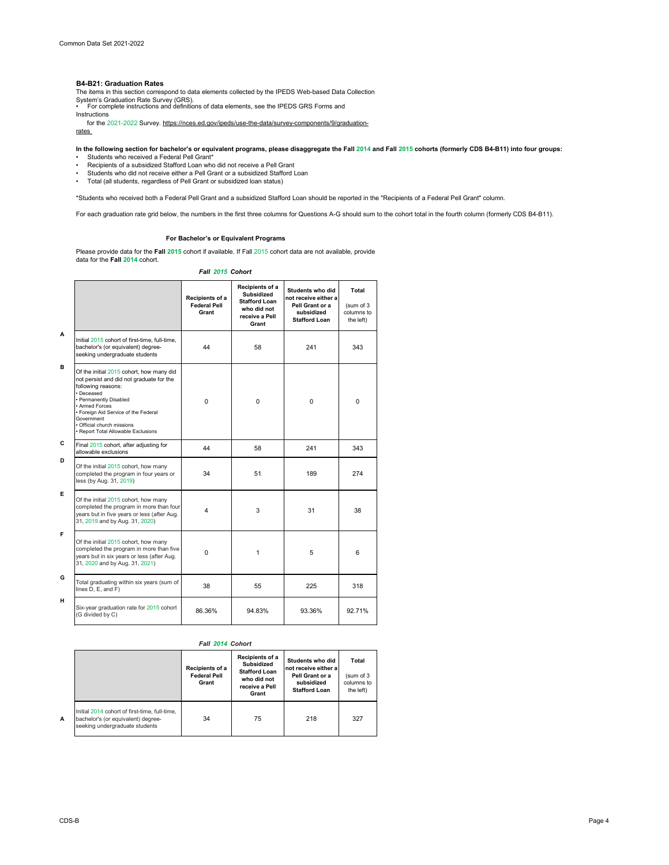#### **B4-B21: Graduation Rates**

| G | Total graduating within six years (sum of<br>lines D, E, and F) | 38     | 55     | 225    | 318    |
|---|-----------------------------------------------------------------|--------|--------|--------|--------|
| н | Six-year graduation rate for 2015 cohort<br>(G divided by C)    | 86.36% | 94.83% | 93.36% | 92.71% |

**A**

**In the following section for bachelor's or equivalent programs, please disaggregate the Fall 2014 and Fall 2015 cohorts (formerly CDS B4-B11) into four groups:**

*Fall 2015 Cohort*

|             |                                                                                                                                                                                                                                                                                                 | Recipients of a<br><b>Federal Pell</b><br>Grant | Recipients of a<br><b>Subsidized</b><br><b>Stafford Loan</b><br>who did not<br>receive a Pell<br>Grant | Students who did<br>not receive either a<br>Pell Grant or a<br>subsidized<br><b>Stafford Loan</b> | <b>Total</b><br>(sum of 3<br>columns to<br>the left) |
|-------------|-------------------------------------------------------------------------------------------------------------------------------------------------------------------------------------------------------------------------------------------------------------------------------------------------|-------------------------------------------------|--------------------------------------------------------------------------------------------------------|---------------------------------------------------------------------------------------------------|------------------------------------------------------|
| A           | Initial 2015 cohort of first-time, full-time,<br>bachelor's (or equivalent) degree-<br>seeking undergraduate students                                                                                                                                                                           | 44                                              | 58                                                                                                     | 241                                                                                               | 343                                                  |
| в           | Of the initial 2015 cohort, how many did<br>not persist and did not graduate for the<br>following reasons:<br>• Deceased<br>• Permanently Disabled<br>• Armed Forces<br>• Foreign Aid Service of the Federal<br>Government<br>· Official church missions<br>· Report Total Allowable Exclusions | $\mathbf 0$                                     | $\mathbf 0$                                                                                            | $\mathbf 0$                                                                                       | $\mathbf 0$                                          |
| $\mathbf C$ | Final 2015 cohort, after adjusting for<br>allowable exclusions                                                                                                                                                                                                                                  | 44                                              | 58                                                                                                     | 241                                                                                               | 343                                                  |
| D           | Of the initial 2015 cohort, how many<br>completed the program in four years or<br>less (by Aug. 31, 2019)                                                                                                                                                                                       | 34                                              | 51                                                                                                     | 189                                                                                               | 274                                                  |
| Е           | Of the initial 2015 cohort, how many<br>completed the program in more than four<br>years but in five years or less (after Aug.<br>31, 2019 and by Aug. 31, 2020)                                                                                                                                | 4                                               | 3                                                                                                      | 31                                                                                                | 38                                                   |
| F           | Of the initial 2015 cohort, how many<br>completed the program in more than five<br>years but in six years or less (after Aug.<br>31, 2020 and by Aug. 31, 2021)                                                                                                                                 | 0                                               | 1                                                                                                      | 5                                                                                                 | 6                                                    |
| G.          |                                                                                                                                                                                                                                                                                                 |                                                 |                                                                                                        |                                                                                                   |                                                      |

- Students who received a Federal Pell Grant\*
- Recipients of a subsidized Stafford Loan who did not receive a Pell Grant
- Students who did not receive either a Pell Grant or a subsidized Stafford Loan
- Total (all students, regardless of Pell Grant or subsidized loan status)

\*Students who received both a Federal Pell Grant and a subsidized Stafford Loan should be reported in the "Recipients of a Federal Pell Grant" column.

For each graduation rate grid below, the numbers in the first three columns for Questions A-G should sum to the cohort total in the fourth column (formerly CDS B4-B11).

Please provide data for the **Fall 2015** cohort if available. If Fall 2015 cohort data are not available, provide data for the **Fall 2014** cohort.

|                                                                                                                       | Recipients of a<br><b>Federal Pell</b><br>Grant | Recipients of a<br><b>Subsidized</b><br><b>Stafford Loan</b><br>who did not<br>receive a Pell<br>Grant | <b>Students who did</b><br>Inot receive either a<br>Pell Grant or a<br>subsidized<br><b>Stafford Loan</b> |     |
|-----------------------------------------------------------------------------------------------------------------------|-------------------------------------------------|--------------------------------------------------------------------------------------------------------|-----------------------------------------------------------------------------------------------------------|-----|
| Initial 2014 cohort of first-time, full-time,<br>bachelor's (or equivalent) degree-<br>seeking undergraduate students | 34                                              | 75                                                                                                     | 218                                                                                                       | 327 |

The items in this section correspond to data elements collected by the IPEDS Web-based Data Collection System's Graduation Rate Survey (GRS). • For complete instructions and definitions of data elements, see the IPEDS GRS Forms and

Instructions

for the 2021-2022 Survey. https://nces.ed.gov/ipeds/use-the-data/survey-components/9/graduation-

rates

### **For Bachelor's or Equivalent Programs**

### *Fall 2014 Cohort*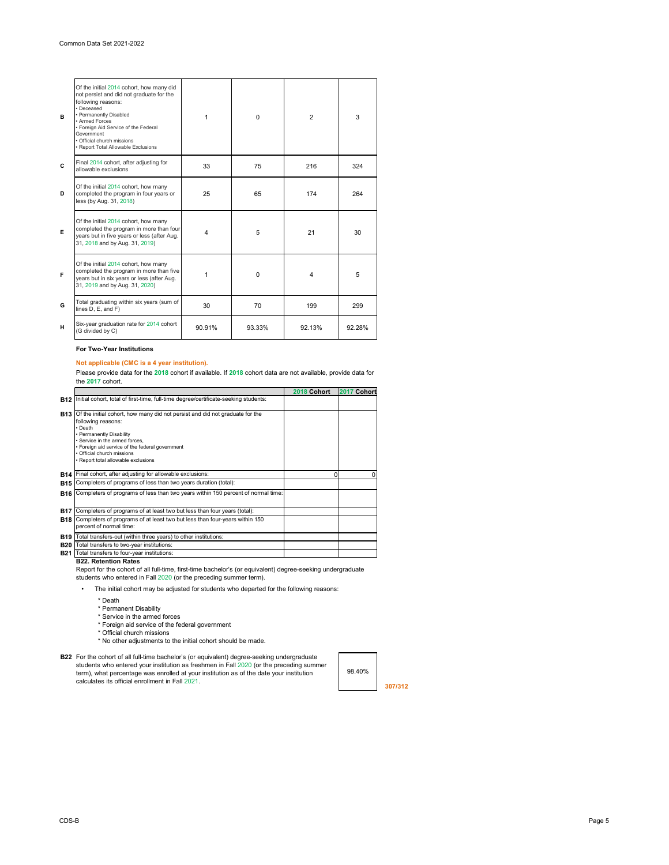| B | Of the initial 2014 cohort, how many did<br>not persist and did not graduate for the<br>following reasons:<br>• Deceased<br>• Permanently Disabled<br>• Armed Forces<br>• Foreign Aid Service of the Federal<br>Government<br>· Official church missions<br>• Report Total Allowable Exclusions | 1      | $\mathbf 0$ | $\overline{2}$          | 3      |
|---|-------------------------------------------------------------------------------------------------------------------------------------------------------------------------------------------------------------------------------------------------------------------------------------------------|--------|-------------|-------------------------|--------|
| C | Final 2014 cohort, after adjusting for<br>allowable exclusions                                                                                                                                                                                                                                  | 33     | 75          | 216                     | 324    |
| D | Of the initial 2014 cohort, how many<br>completed the program in four years or<br>less (by Aug. 31, 2018)                                                                                                                                                                                       | 25     | 65          | 174                     | 264    |
| E | Of the initial 2014 cohort, how many<br>completed the program in more than four<br>years but in five years or less (after Aug.<br>31, 2018 and by Aug. 31, 2019)                                                                                                                                | 4      | 5           | 21                      | 30     |
| F | Of the initial 2014 cohort, how many<br>completed the program in more than five<br>years but in six years or less (after Aug.<br>31, 2019 and by Aug. 31, 2020)                                                                                                                                 | 1      | $\mathbf 0$ | $\overline{\mathbf{4}}$ | 5      |
| G | Total graduating within six years (sum of<br>lines D, E, and F)                                                                                                                                                                                                                                 | 30     | 70          | 199                     | 299    |
| н | Six-year graduation rate for 2014 cohort<br>(G divided by C)                                                                                                                                                                                                                                    | 90.91% | 93.33%      | 92.13%                  | 92.28% |

### **For Two-Year Institutions**

# **B22. Retention Rates**

98.40%

**307/312**

\* Death

Please provide data for the **2018** cohort if available. If **2018** cohort data are not available, provide data for the **2017** cohort.

- \* Permanent Disability
- \* Service in the armed forces
- \* Foreign aid service of the federal government
- \* Official church missions
- \* No other adjustments to the initial cohort should be made.
- **B22** For the cohort of all full-time bachelor's (or equivalent) degree-seeking undergraduate students who entered your institution as freshmen in Fall 2020 (or the preceding summer term), what percentage was enrolled at your institution as of the date your institution calculates its official enrollment in Fall 2021.

• The initial cohort may be adjusted for students who departed for the following reasons:

|            |                                                                                                                                                                                                                                                                                                                      | 2018 Cohort | Cohort<br>2017 |
|------------|----------------------------------------------------------------------------------------------------------------------------------------------------------------------------------------------------------------------------------------------------------------------------------------------------------------------|-------------|----------------|
|            | <b>B12</b> linitial cohort, total of first-time, full-time degree/certificate-seeking students:                                                                                                                                                                                                                      |             |                |
|            | <b>B13</b> Of the initial cohort, how many did not persist and did not graduate for the<br>following reasons:<br>$\cdot$ Death<br>• Permanently Disability<br>• Service in the armed forces,<br>• Foreign aid service of the federal government<br>• Official church missions<br>• Report total allowable exclusions |             |                |
| <b>B14</b> | Final cohort, after adjusting for allowable exclusions:                                                                                                                                                                                                                                                              | $\Omega$    |                |
| <b>B15</b> | Completers of programs of less than two years duration (total):                                                                                                                                                                                                                                                      |             |                |
|            | <b>B16</b> Completers of programs of less than two years within 150 percent of normal time:                                                                                                                                                                                                                          |             |                |
| <b>B17</b> | Completers of programs of at least two but less than four years (total):                                                                                                                                                                                                                                             |             |                |
| <b>B18</b> | Completers of programs of at least two but less than four-years within 150<br>percent of normal time:                                                                                                                                                                                                                |             |                |
| <b>B19</b> | Total transfers-out (within three years) to other institutions:                                                                                                                                                                                                                                                      |             |                |
| <b>B20</b> | Total transfers to two-year institutions:                                                                                                                                                                                                                                                                            |             |                |
| <b>B21</b> | Total transfers to four-year institutions:                                                                                                                                                                                                                                                                           |             |                |

# **Not applicable (CMC is a 4 year institution).**

Report for the cohort of all full-time, first-time bachelor's (or equivalent) degree-seeking undergraduate students who entered in Fall 2020 (or the preceding summer term).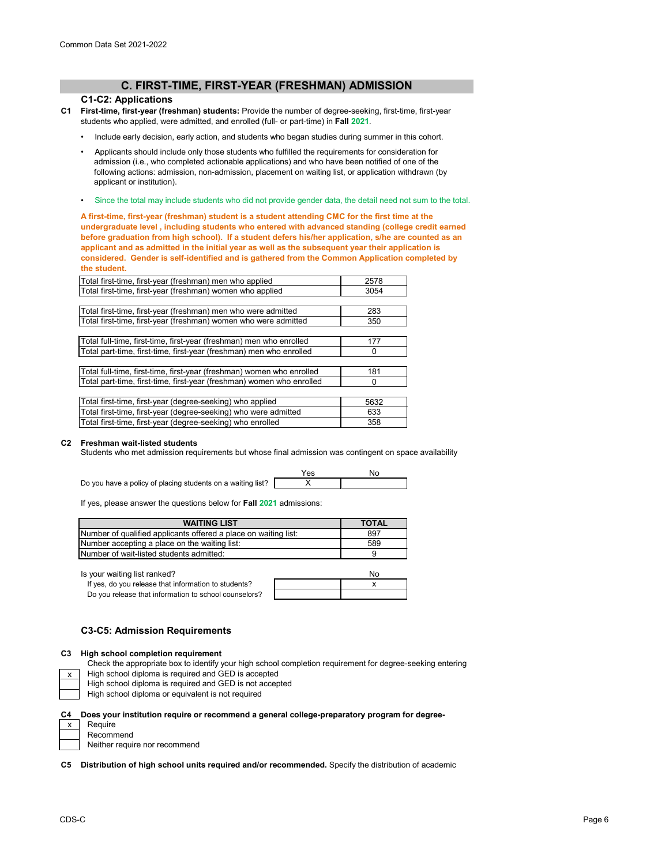# **C. FIRST-TIME, FIRST-YEAR (FRESHMAN) ADMISSION**

## **C1-C2: Applications**

- **C1 First-time, first-year (freshman) students:** Provide the number of degree-seeking, first-time, first-year students who applied, were admitted, and enrolled (full- or part-time) in **Fall 2021**.
	- Include early decision, early action, and students who began studies during summer in this cohort.
	- Applicants should include only those students who fulfilled the requirements for consideration for admission (i.e., who completed actionable applications) and who have been notified of one of the following actions: admission, non-admission, placement on waiting list, or application withdrawn (by applicant or institution).
	- Since the total may include students who did not provide gender data, the detail need not sum to the total.

**A first-time, first-year (freshman) student is a student attending CMC for the first time at the undergraduate level , including students who entered with advanced standing (college credit earned before graduation from high school). If a student defers his/her application, s/he are counted as an applicant and as admitted in the initial year as well as the subsequent year their application is considered. Gender is self-identified and is gathered from the Common Application completed by the student.**

| Total first-time, first-year (freshman) men who applied               | 2578 |
|-----------------------------------------------------------------------|------|
| Total first-time, first-year (freshman) women who applied             | 3054 |
|                                                                       |      |
| Total first-time, first-year (freshman) men who were admitted         | 283  |
| Total first-time, first-year (freshman) women who were admitted       | 350  |
|                                                                       |      |
| Total full-time, first-time, first-year (freshman) men who enrolled   | 177  |
| Total part-time, first-time, first-year (freshman) men who enrolled   | 0    |
|                                                                       |      |
| Total full-time, first-time, first-year (freshman) women who enrolled | 181  |
| Total part-time, first-time, first-year (freshman) women who enrolled | 0    |
|                                                                       |      |
| Total first-time, first-year (degree-seeking) who applied             | 5632 |
| Total first-time, first-year (degree-seeking) who were admitted       | 633  |
| Total first-time, first-year (degree-seeking) who enrolled            | 358  |

# **C2 Freshman wait-listed students**

Students who met admission requirements but whose final admission was contingent on space availability



If yes, please answer the questions below for **Fall 2021** admissions:

| <b>WAITING LIST</b>                                             | <b>TOTAL</b> |
|-----------------------------------------------------------------|--------------|
| Number of qualified applicants offered a place on waiting list: | 897          |
| Number accepting a place on the waiting list:                   | 589          |
| <b>INumber of wait-listed students admitted:</b>                | u            |

Is your waiting list ranked? No waiting the state of the state of the state of the state of the state of the state of the state of the state of the state of the state of the state of the state of the state of the state of

| If yes, do you release that information to students?  |  |
|-------------------------------------------------------|--|
| Do you release that information to school counselors? |  |

# **C3-C5: Admission Requirements**

#### **C3 High school completion requirement**

x

High school diploma is required and GED is accepted High school diploma is required and GED is not accepted

High school diploma or equivalent is not required

### **C4 Does your institution require or recommend a general college-preparatory program for degree-**

| х | Require |
|---|---------|
|   | Recomr  |

commend Neither require nor recommend

**C5 Distribution of high school units required and/or recommended.** Specify the distribution of academic

Check the appropriate box to identify your high school completion requirement for degree-seeking entering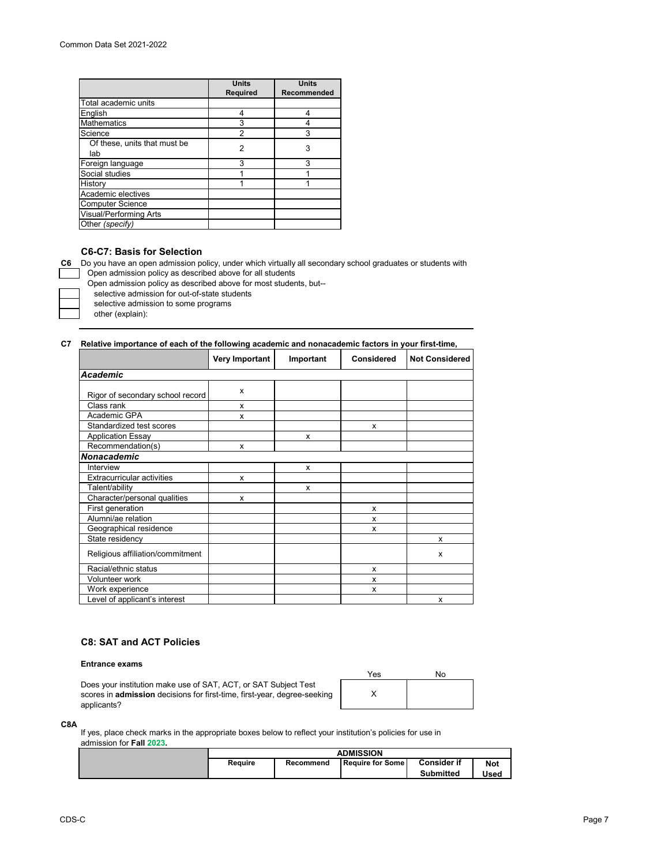|                               | <b>Units</b>    | <b>Units</b>       |
|-------------------------------|-----------------|--------------------|
|                               |                 |                    |
|                               | <b>Required</b> | <b>Recommended</b> |
| Total academic units          |                 |                    |
| English                       | 4               |                    |
| <b>Mathematics</b>            | 3               |                    |
| Science                       | $\overline{2}$  | 3                  |
| Of these, units that must be  | 2               | 3                  |
| lab                           |                 |                    |
| Foreign language              | 3               | 3                  |
| Social studies                |                 |                    |
| History                       |                 |                    |
| Academic electives            |                 |                    |
| <b>Computer Science</b>       |                 |                    |
| <b>Visual/Performing Arts</b> |                 |                    |
| Other (specify)               |                 |                    |

# **C6-C7: Basis for Selection**

**C6** Do you have an open admission policy, under which virtually all secondary school graduates or students with

Open admission policy as described above for all students

Open admission policy as described above for most students, but--

selective admission for out-of-state students

selective admission to some programs

other (explain):

# **C7 Relative importance of each of the following academic and nonacademic factors in your first-time,**

|                                   | <b>Very Important</b> | Important | <b>Considered</b> | <b>Not Considered</b> |
|-----------------------------------|-----------------------|-----------|-------------------|-----------------------|
| <b>Academic</b>                   |                       |           |                   |                       |
| Rigor of secondary school record  | X                     |           |                   |                       |
| Class rank                        | X                     |           |                   |                       |
| Academic GPA                      | X                     |           |                   |                       |
| Standardized test scores          |                       |           | X                 |                       |
| <b>Application Essay</b>          |                       | X         |                   |                       |
| Recommendation(s)                 | x                     |           |                   |                       |
| <b>Nonacademic</b>                |                       |           |                   |                       |
| Interview                         |                       | X         |                   |                       |
| <b>Extracurricular activities</b> | X                     |           |                   |                       |
| Talent/ability                    |                       | X         |                   |                       |
| Character/personal qualities      | X                     |           |                   |                       |
| First generation                  |                       |           | X                 |                       |
| Alumni/ae relation                |                       |           | X                 |                       |
| Geographical residence            |                       |           | X                 |                       |
| State residency                   |                       |           |                   | X                     |
| Religious affiliation/commitment  |                       |           |                   | X                     |
| Racial/ethnic status              |                       |           | X                 |                       |
| Volunteer work                    |                       |           | X                 |                       |
| Work experience                   |                       |           | x                 |                       |
| Level of applicant's interest     |                       |           |                   | X                     |

# **C8: SAT and ACT Policies**

#### **Entrance exams**

Does your institution make use of SAT, ACT, or SAT Subject Test scores in **admission** decisions for first-time, first-year, degree-seeking applicants?

| Yes | No |
|-----|----|
|     |    |

#### **C8A**

If yes, place check marks in the appropriate boxes below to reflect your institution's policies for use in admission for **Fall 2023.**

| ADMISSION      |           |                           |                                        |                           |
|----------------|-----------|---------------------------|----------------------------------------|---------------------------|
| <b>Require</b> | Recommend | <b>I Require for Some</b> | <b>Consider if</b><br><b>Submitted</b> | <b>Not</b><br><b>Used</b> |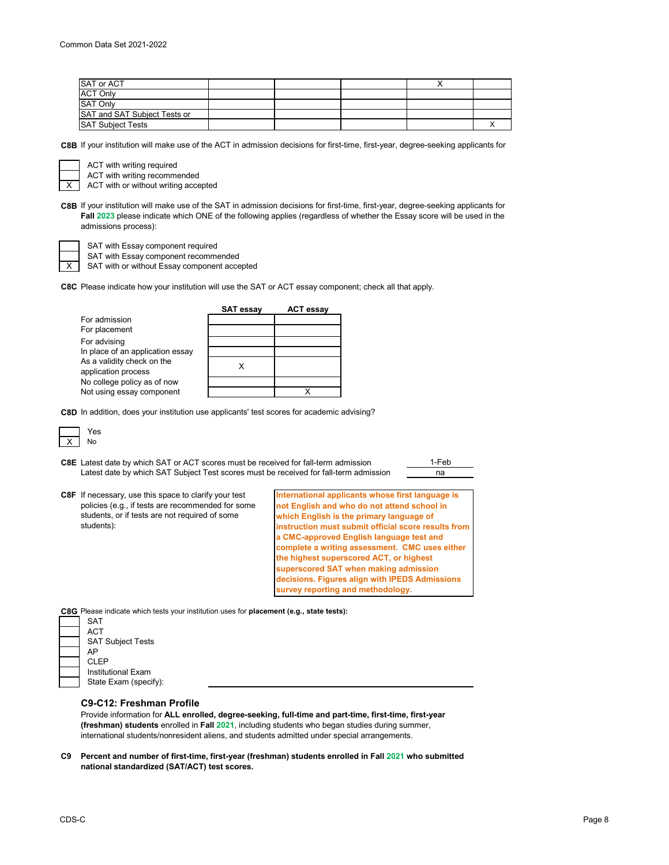| <b>SAT or ACT</b>            |  |  |  |
|------------------------------|--|--|--|
| <b>ACT Only</b>              |  |  |  |
| <b>SAT Only</b>              |  |  |  |
| SAT and SAT Subject Tests or |  |  |  |
| <b>SAT Subject Tests</b>     |  |  |  |

**C8B** If your institution will make use of the ACT in admission decisions for first-time, first-year, degree-seeking applicants for

ACT with writing required

ACT with writing recommended

ACT with or without writing accepted

**C8B** If your institution will make use of the SAT in admission decisions for first-time, first-year, degree-seeking applicants for **Fall 2023** please indicate which ONE of the following applies (regardless of whether the Essay score will be used in the admissions process):

X

X

SAT with Essay component required

SAT with Essay component recommended SAT with or without Essay component accepted

**C8C** Please indicate how your institution will use the SAT or ACT essay component; check all that apply.

|                                  | <b>SAT essay</b> | <b>ACT essay</b> |
|----------------------------------|------------------|------------------|
| For admission                    |                  |                  |
| For placement                    |                  |                  |
| For advising                     |                  |                  |
| In place of an application essay |                  |                  |
| As a validity check on the       |                  |                  |
| application process              |                  |                  |
| No college policy as of now      |                  |                  |
| Not using essay component        |                  |                  |

**C8D** In addition, does your institution use applicants' test scores for academic advising?



**C8E** Latest date by which SAT or ACT scores must be received for fall-term admission \_\_\_\_\_\_\_\_\_\_\_\_\_\_\_\_\_\_\_\_\_\_\_\_\_ na Latest date by which SAT Subject Test scores must be received for fall-term admission

**C8F** If necessary, use this space to clarify your test policies (e.g., if tests are recommended for some students, or if tests are not required of some students):

**International applicants whose first language is not English and who do not attend school in which English is the primary language of instruction must submit official score results from a CMC-approved English language test and complete a writing assessment. CMC uses either the highest superscored ACT, or highest superscored SAT when making admission decisions. Figures align with IPEDS Admissions survey reporting and methodology.**

**C8G** Please indicate which tests your institution uses for **placement (e.g., state tests):**

| SAT                      |
|--------------------------|
| <b>ACT</b>               |
| <b>SAT Subject Tests</b> |
| AP                       |
| <b>CLEP</b>              |
| Institutional Exam       |
| State Exam (specify):    |
|                          |

# **C9-C12: Freshman Profile**

Provide information for **ALL enrolled, degree-seeking, full-time and part-time, first-time, first-year (freshman) students** enrolled in **Fall 2021**, including students who began studies during summer, international students/nonresident aliens, and students admitted under special arrangements.

**C9 Percent and number of first-time, first-year (freshman) students enrolled in Fall 2021 who submitted national standardized (SAT/ACT) test scores.**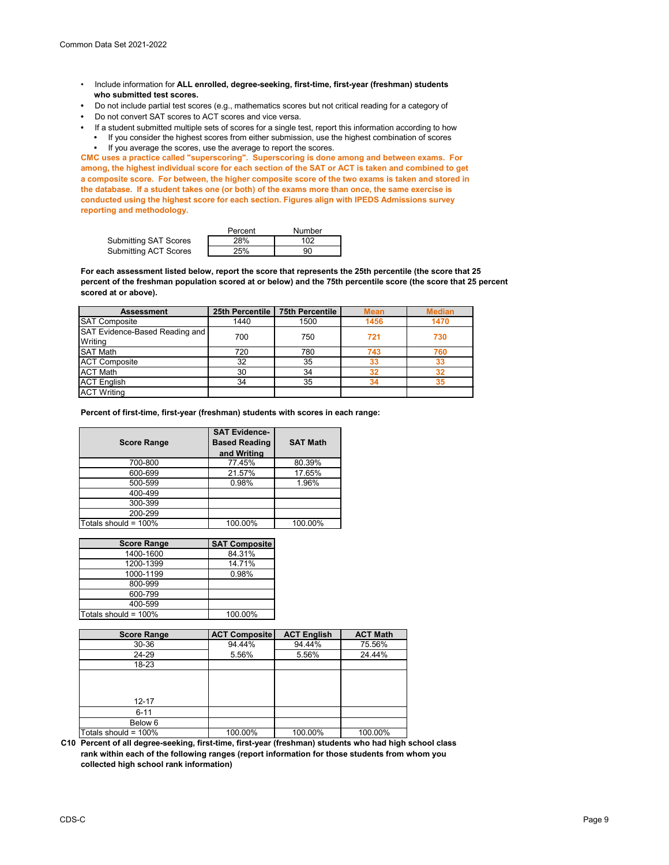- Include information for **ALL enrolled, degree-seeking, first-time, first-year (freshman) students who submitted test scores.**
- Do not include partial test scores (e.g., mathematics scores but not critical reading for a category of
- Do not convert SAT scores to ACT scores and vice versa.
- If a student submitted multiple sets of scores for a single test, report this information according to how **•** If you consider the highest scores from either submission, use the highest combination of scores **•** If you average the scores, use the average to report the scores.

**CMC uses a practice called "superscoring". Superscoring is done among and between exams. For among, the highest individual score for each section of the SAT or ACT is taken and combined to get a composite score. For between, the higher composite score of the two exams is taken and stored in the database. If a student takes one (or both) of the exams more than once, the same exercise is conducted using the highest score for each section. Figures align with IPEDS Admissions survey reporting and methodology.**

|                              | Percent | Number |
|------------------------------|---------|--------|
| <b>Submitting SAT Scores</b> | 28%     | 102    |
| <b>Submitting ACT Scores</b> | 25%     | 90     |

**For each assessment listed below, report the score that represents the 25th percentile (the score that 25 percent of the freshman population scored at or below) and the 75th percentile score (the score that 25 percent scored at or above).**

| <b>Assessment</b>                     | 25th Percentile | <b>75th Percentile</b> | <b>Mean</b> | <b>Median</b> |
|---------------------------------------|-----------------|------------------------|-------------|---------------|
| <b>SAT Composite</b>                  | 1440            | 1500                   | 1456        | 1470          |
| <b>SAT Evidence-Based Reading and</b> | 700             |                        |             |               |
| Writing                               |                 | 750                    | 721         | 730           |
| <b>SAT Math</b>                       | 720             | 780                    | 743         | 760           |
| <b>ACT Composite</b>                  | 32              | 35                     | 33          | 33            |
| <b>ACT Math</b>                       | 30              | 34                     |             | 32            |
| ACT English                           | 34              | 35                     |             | 35            |
| <b>ACT Writing</b>                    |                 |                        |             |               |

**Percent of first-time, first-year (freshman) students with scores in each range:**

| <b>Score Range</b>   | <b>SAT Evidence-</b><br><b>Based Reading</b><br>and Writing | <b>SAT Math</b> |
|----------------------|-------------------------------------------------------------|-----------------|
| 700-800              | 77.45%                                                      | 80.39%          |
| 600-699              | 21.57%                                                      | 17.65%          |
| 500-599              | 0.98%                                                       | 1.96%           |
| 400-499              |                                                             |                 |
| 300-399              |                                                             |                 |
| 200-299              |                                                             |                 |
| Totals should = 100% | 100.00%                                                     | 100.00%         |

| <b>Score Range</b>   | <b>SAT Composite</b> |
|----------------------|----------------------|
| 1400-1600            | 84.31%               |
| 1200-1399            | 14.71%               |
| 1000-1199            | 0.98%                |
| 800-999              |                      |
| 600-799              |                      |
| 400-599              |                      |
| Totals should = 100% | 100.00%              |

| <b>Score Range</b>   | <b>ACT Composite</b> | <b>ACT English</b> | <b>ACT Math</b> |
|----------------------|----------------------|--------------------|-----------------|
| 30-36                | 94.44%               | 94.44%             | 75.56%          |
| 24-29                | 5.56%                | 5.56%              | 24.44%          |
| 18-23                |                      |                    |                 |
| $12 - 17$            |                      |                    |                 |
| $6 - 11$             |                      |                    |                 |
| Below 6              |                      |                    |                 |
| Totals should = 100% | 100.00%              | 100.00%            | 100.00%         |

**C10 Percent of all degree-seeking, first-time, first-year (freshman) students who had high school class rank within each of the following ranges (report information for those students from whom you collected high school rank information)**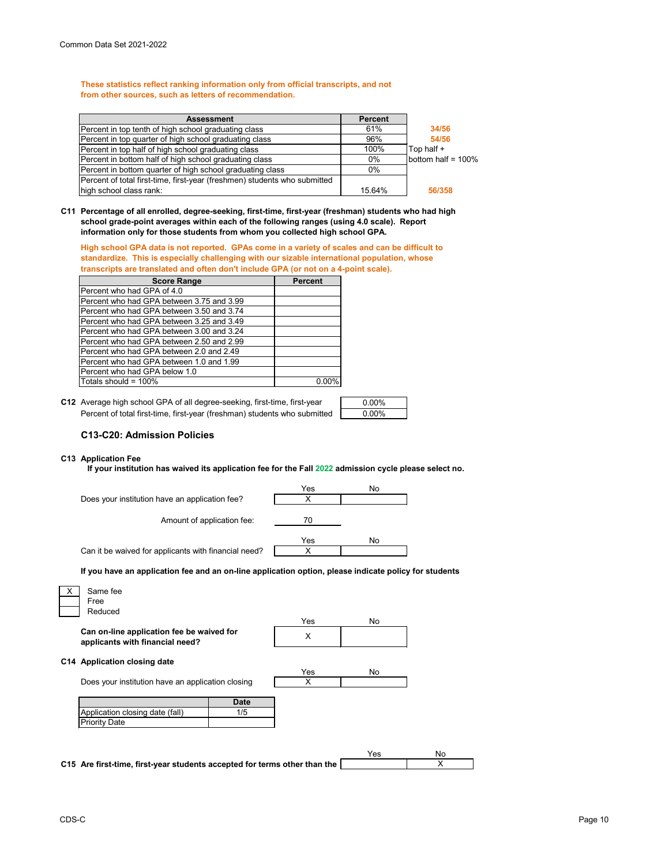**These statistics reflect ranking information only from official transcripts, and not from other sources, such as letters of recommendation.**

| <b>Assessment</b>                                                         | <b>Percent</b> |                    |
|---------------------------------------------------------------------------|----------------|--------------------|
| Percent in top tenth of high school graduating class                      | 61%            | 34/56              |
| Percent in top quarter of high school graduating class                    | 96%            | 54/56              |
| Percent in top half of high school graduating class                       | 100%           | Top half +         |
| Percent in bottom half of high school graduating class                    | $0\%$          | bottom half = 100% |
| Percent in bottom quarter of high school graduating class                 | $0\%$          |                    |
| Percent of total first-time, first-year (freshmen) students who submitted |                |                    |
| high school class rank:                                                   | 15.64%         | 56/358             |

**C11 Percentage of all enrolled, degree-seeking, first-time, first-year (freshman) students who had high school grade-point averages within each of the following ranges (using 4.0 scale). Report information only for those students from whom you collected high school GPA.**

**High school GPA data is not reported. GPAs come in a variety of scales and can be difficult to standardize. This is especially challenging with our sizable international population, whose transcripts are translated and often don't include GPA (or not on a 4-point scale).**

| <b>Score Range</b>                        | <b>Percent</b> |
|-------------------------------------------|----------------|
| Percent who had GPA of 4.0                |                |
| Percent who had GPA between 3.75 and 3.99 |                |
| Percent who had GPA between 3.50 and 3.74 |                |
| Percent who had GPA between 3.25 and 3.49 |                |
| Percent who had GPA between 3.00 and 3.24 |                |
| Percent who had GPA between 2.50 and 2.99 |                |
| Percent who had GPA between 2.0 and 2.49  |                |
| Percent who had GPA between 1.0 and 1.99  |                |
| Percent who had GPA below 1.0             |                |
| Totals should = 100%                      | 0.00%          |

**C12** Average high school GPA of all degree-seeking, first-time, first-year  $\qquad \qquad \qquad \qquad 0.00\%$ Percent of total first-time, first-year (freshman) students who submitted

| 0.00%    |  |
|----------|--|
| $0.00\%$ |  |

# **C13-C20: Admission Policies**

### **C13 Application Fee**

**If your institution has waived its application fee for the Fall 2022 admission cycle please select no.**

|                                                      | Yes | No |
|------------------------------------------------------|-----|----|
| Does your institution have an application fee?       |     |    |
| Amount of application fee:                           | 70  |    |
|                                                      | Yes | No |
| Can it be waived for applicants with financial need? |     |    |

**If you have an application fee and an on-line application option, please indicate policy for students** 

| Free                                                                         |             |          |     |  |
|------------------------------------------------------------------------------|-------------|----------|-----|--|
| Reduced                                                                      |             |          |     |  |
| Can on-line application fee be waived for<br>applicants with financial need? |             | Yes<br>X | No  |  |
| C14 Application closing date                                                 |             |          |     |  |
| Does your institution have an application closing                            |             | Yes<br>X | No. |  |
|                                                                              | <b>Date</b> |          |     |  |
| Application closing date (fall)                                              | 1/5         |          |     |  |
| <b>Priority Date</b>                                                         |             |          |     |  |
|                                                                              |             |          |     |  |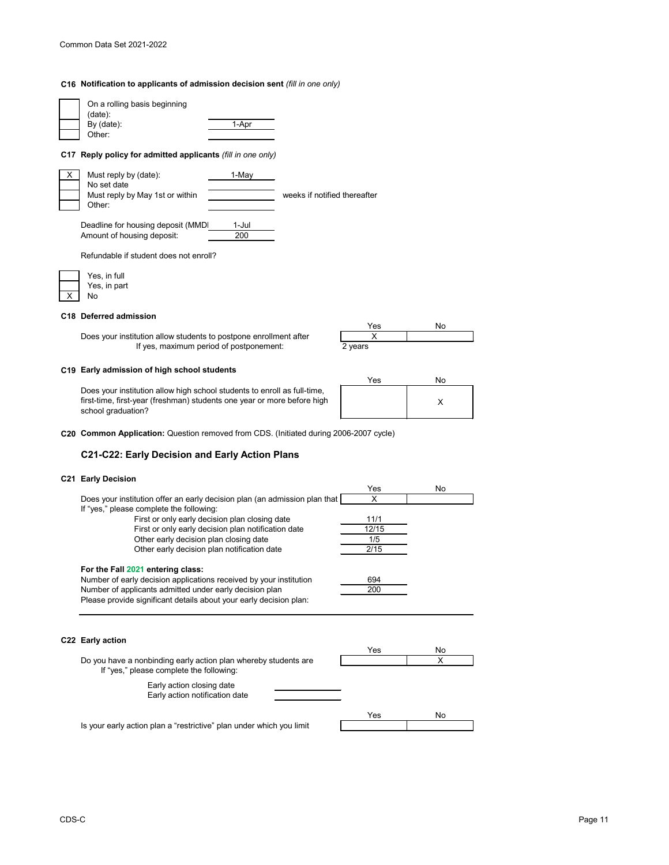## **C16 Notification to applicants of admission decision sent** *(fill in one only)*

| On a rolling basis beginning<br>(data):<br>By (date):<br>Other:                        | 1-Apr        |                              |
|----------------------------------------------------------------------------------------|--------------|------------------------------|
| Reply policy for admitted applicants (fill in one only)<br>C17                         |              |                              |
| Must reply by (date):<br>X<br>No set date<br>Must reply by May 1st or within<br>Other: | 1-May        | weeks if notified thereafter |
| Deadline for housing deposit (MMD)<br>Amount of housing deposit:                       | 1-Jul<br>200 |                              |
| Refundable if student does not enroll?                                                 |              |                              |

|  | Yes, in full |
|--|--------------|
|  | Yes, in part |
|  | N٥           |

### **C18 Deferred admission**

Does your institution allow students to postpone enrollment after If yes, maximum period of postponement:

### **C19 Early admission of high school students**

Does your institution allow high school students to enroll as full-time, first-time, first-year (freshman) students one year or more before high school graduation?





**C20 Common Application:** Question removed from CDS. (Initiated during 2006-2007 cycle)

# **C21-C22: Early Decision and Early Action Plans**

### **C21 Early Decision**

| Yes   | No |
|-------|----|
| X     |    |
|       |    |
| 11/1  |    |
| 12/15 |    |
| 1/5   |    |
| 2/15  |    |
|       |    |
| 694   |    |
| 200   |    |
|       |    |
|       |    |
|       |    |
| Yes   | No |
|       | X  |
|       |    |
|       |    |
| Yes   | No |
|       |    |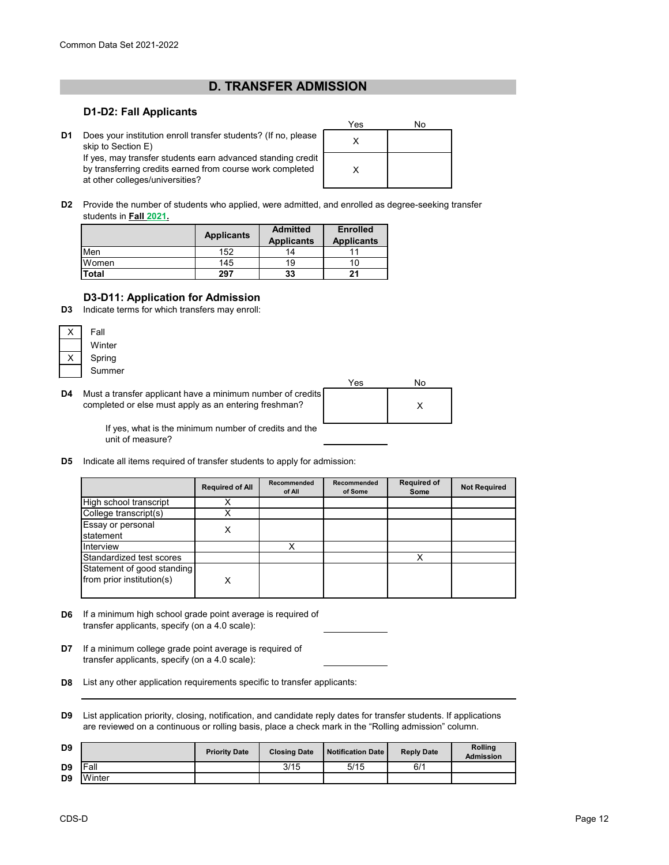# **D. TRANSFER ADMISSION**

# **D1-D2: Fall Applicants**

**D1** Does your institution enroll transfer students? (If no, please  $\begin{bmatrix} x \end{bmatrix}$ skip to Section E) If yes, may transfer students earn advanced standing credit by transferring credits earned from course work completed at other colleges/universities?

| Yes | No |
|-----|----|
| Х   |    |
| Χ   |    |

**D2** Provide the number of students who applied, were admitted, and enrolled as degree-seeking transfer students in **Fall 2021.**

|       | <b>Applicants</b> | <b>Admitted</b><br><b>Applicants</b> | <b>Enrolled</b><br><b>Applicants</b> |
|-------|-------------------|--------------------------------------|--------------------------------------|
| Men   | 152               | 14                                   |                                      |
| Women | 145               | 19                                   |                                      |
| Total | 297               | 33                                   | 21                                   |

# **D3-D11: Application for Admission**

**D3** Indicate terms for which transfers may enroll:

| Fall   |
|--------|
| Winter |
| Spring |
| Summer |

**D4** Must a transfer applicant have a minimum number of credits completed or else must apply as an entering freshman?

| Yes | No |
|-----|----|
|     |    |

If yes, what is the minimum number of credits and the unit of measure?

**D5** Indicate all items required of transfer students to apply for admission:

|                                                         | <b>Required of All</b> | Recommended<br>of All | Recommended<br>of Some | <b>Required of</b><br>Some | <b>Not Required</b> |
|---------------------------------------------------------|------------------------|-----------------------|------------------------|----------------------------|---------------------|
| High school transcript                                  |                        |                       |                        |                            |                     |
| College transcript(s)                                   |                        |                       |                        |                            |                     |
| Essay or personal<br>statement                          |                        |                       |                        |                            |                     |
| Interview                                               |                        | x                     |                        |                            |                     |
| Standardized test scores                                |                        |                       |                        |                            |                     |
| Statement of good standing<br>from prior institution(s) |                        |                       |                        |                            |                     |

- **D6** If a minimum high school grade point average is required of transfer applicants, specify (on a 4.0 scale):
- **D7** If a minimum college grade point average is required of transfer applicants, specify (on a 4.0 scale):
- **D8** List any other application requirements specific to transfer applicants:
- **D9** List application priority, closing, notification, and candidate reply dates for transfer students. If applications are reviewed on a continuous or rolling basis, place a check mark in the "Rolling admission" column.

| D <sub>9</sub> |             | <b>Priority Date</b> | <b>Closing Date</b> | Notification Date | <b>Reply Date</b> | <b>Rolling</b><br><b>Admission</b> |
|----------------|-------------|----------------------|---------------------|-------------------|-------------------|------------------------------------|
| D <sub>9</sub> | <b>Fall</b> |                      | 3/15                | 5/15              | 6/1               |                                    |
| D <sub>9</sub> | Winter      |                      |                     |                   |                   |                                    |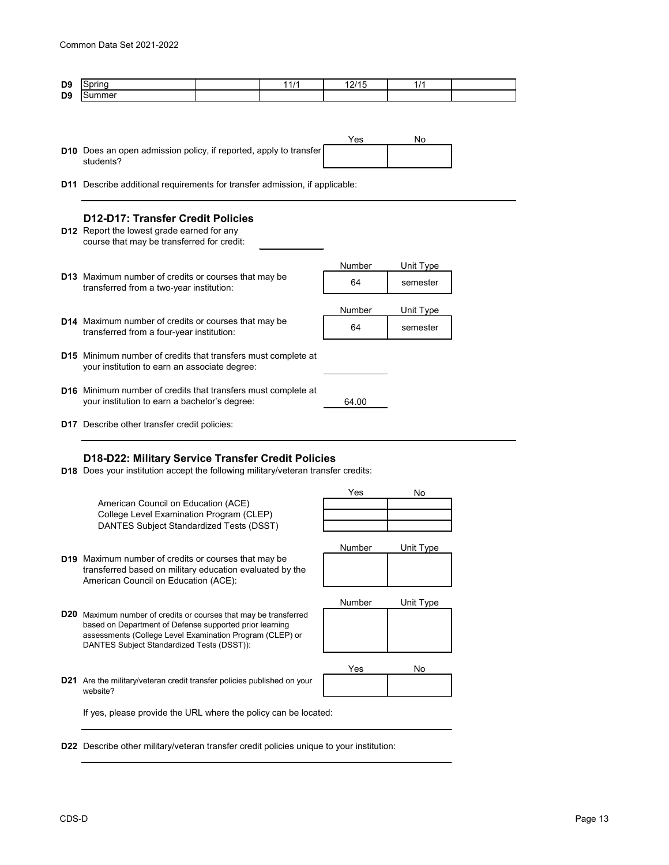| D <sub>9</sub> | ïnd<br>--        | " | .<br>. .<br>. .<br>. | - |  |
|----------------|------------------|---|----------------------|---|--|
| D <sub>9</sub> | -- - -<br>∋ummeı |   |                      |   |  |

- Yes No **D10** Does an open admission policy, if reported, apply to transfer students?
- **D11** Describe additional requirements for transfer admission, if applicable:

# **D12-D17: Transfer Credit Policies**

- **D12** Report the lowest grade earned for any course that may be transferred for credit:
- Number Unit Type **D13** <sup>64</sup> semester Maximum number of credits or courses that may be Number Unit Type **D14** <sup>64</sup> semester Maximum number of credits or courses that may be **D15** Minimum number of credits that transfers must complete at **D16** Minimum number of credits that transfers must complete at 64.00 transferred from a four-year institution: your institution to earn an associate degree: your institution to earn a bachelor's degree: transferred from a two-year institution:
- **D17** Describe other transfer credit policies:

# **D18-D22: Military Service Transfer Credit Policies**

**D18** Does your institution accept the following military/veteran transfer credits:

American Council on Education (ACE) College Level Examination Program (CLEP) DANTES Subject Standardized Tests (DSST)

| Yes | No |
|-----|----|
|     |    |
|     |    |
|     |    |

Number Unit Type

Number Unit Type

- **D19** Maximum number of credits or courses that may be transferred based on military education evaluated by the American Council on Education (ACE):
- **D20** Maximum number of credits or courses that may be transferred based on Department of Defense supported prior learning assessments (College Level Examination Program (CLEP) or DANTES Subject Standardized Tests (DSST)):

| Yes | No |
|-----|----|
|     |    |

**D21** Are the military/veteran credit transfer policies published on your website?

If yes, please provide the URL where the policy can be located:

**D22** Describe other military/veteran transfer credit policies unique to your institution: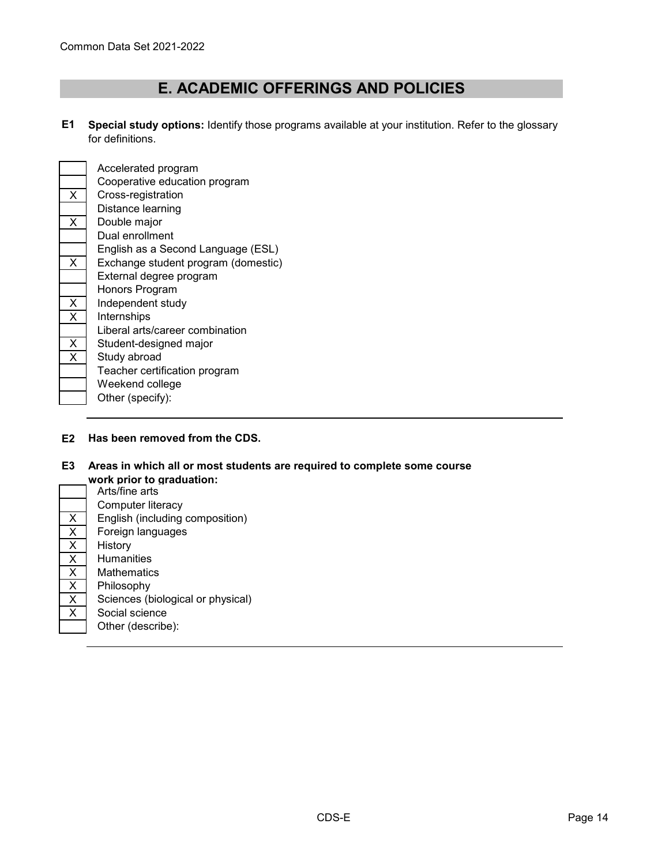# **E. ACADEMIC OFFERINGS AND POLICIES**

**E1 Special study options:** Identify those programs available at your institution. Refer to the glossary for definitions.



Accelerated program Cooperative education program X Cross-registration Distance learning  $X$  Double major Dual enrollment English as a Second Language (ESL) X Exchange student program (domestic) External degree program Honors Program X Independent study X Internships Liberal arts/career combination  $\overline{X}$  Student-designed major  $X$  Study abroad Teacher certification program Weekend college Other (specify):

### **E2 Has been removed from the CDS.**

### **E3 Areas in which all or most students are required to complete some course**

|                         | work prior to graduation:  |  |  |  |
|-------------------------|----------------------------|--|--|--|
|                         | Arts/fine arts             |  |  |  |
|                         | Computer literacy          |  |  |  |
| X                       | English (including compos  |  |  |  |
| $\overline{\mathsf{x}}$ | Foreign languages          |  |  |  |
| $\overline{\mathsf{x}}$ | History                    |  |  |  |
| $\overline{\mathsf{x}}$ | <b>Humanities</b>          |  |  |  |
| X                       | Mathematics                |  |  |  |
| X                       | Philosophy                 |  |  |  |
| $\overline{\mathsf{x}}$ | Sciences (biological or ph |  |  |  |
| X                       | Social science             |  |  |  |
|                         | Other (describe):          |  |  |  |

Arts/fine arts Computer literacy English (including composition) Foreign languages **History Humanities Mathematics** Philosophy Sciences (biological or physical) Social science Other (describe):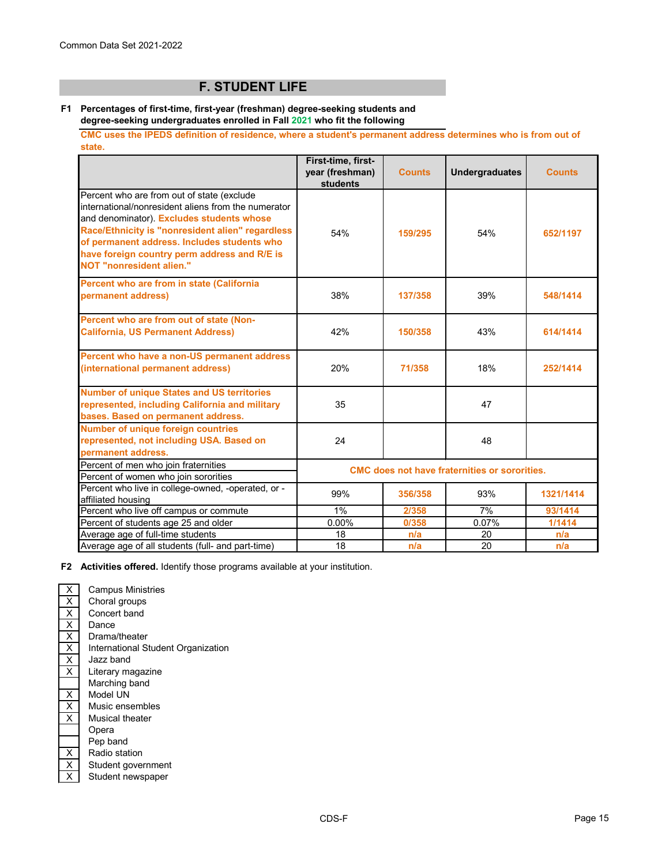# **F. STUDENT LIFE**

### **F1 Percentages of first-time, first-year (freshman) degree-seeking students and degree-seeking undergraduates enrolled in Fall 2021 who fit the following**

**CMC uses the IPEDS definition of residence, where a student's permanent address determines who is from out of state.** 

|                                                                                                                                                                                                                                                                                                                                      | First-time, first-<br>year (freshman)<br><b>students</b> | <b>Counts</b> | <b>Undergraduates</b> | <b>Counts</b> |
|--------------------------------------------------------------------------------------------------------------------------------------------------------------------------------------------------------------------------------------------------------------------------------------------------------------------------------------|----------------------------------------------------------|---------------|-----------------------|---------------|
| Percent who are from out of state (exclude<br>international/nonresident aliens from the numerator<br>and denominator). Excludes students whose<br>Race/Ethnicity is "nonresident alien" regardless<br>of permanent address. Includes students who<br>have foreign country perm address and R/E is<br><b>NOT "nonresident alien."</b> | 54%                                                      | 159/295       | 54%                   | 652/1197      |
| Percent who are from in state (California<br>permanent address)                                                                                                                                                                                                                                                                      | 38%                                                      | 137/358       | 39%                   | 548/1414      |
| Percent who are from out of state (Non-<br><b>California, US Permanent Address)</b>                                                                                                                                                                                                                                                  | 42%                                                      | 150/358       | 43%                   | 614/1414      |
| Percent who have a non-US permanent address<br>(international permanent address)                                                                                                                                                                                                                                                     | 20%                                                      | 71/358        | 18%                   | 252/1414      |
| <b>Number of unique States and US territories</b><br>represented, including California and military<br>bases. Based on permanent address.                                                                                                                                                                                            | 35                                                       |               | 47                    |               |
| <b>Number of unique foreign countries</b><br>represented, not including USA. Based on<br>permanent address.                                                                                                                                                                                                                          | 24                                                       |               | 48                    |               |
| Percent of men who join fraternities<br>Percent of women who join sororities                                                                                                                                                                                                                                                         | <b>CMC</b> does not have fraternities or sororities.     |               |                       |               |
| Percent who live in college-owned, -operated, or -<br>affiliated housing                                                                                                                                                                                                                                                             | 99%                                                      | 356/358       | 93%                   | 1321/1414     |
| Percent who live off campus or commute                                                                                                                                                                                                                                                                                               | $1\%$                                                    | 2/358         | 7%                    | 93/1414       |
| Percent of students age 25 and older                                                                                                                                                                                                                                                                                                 | 0.00%                                                    | 0/358         | 0.07%                 | 1/1414        |
| Average age of full-time students                                                                                                                                                                                                                                                                                                    | 18                                                       | n/a           | 20                    | n/a           |
| Average age of all students (full- and part-time)                                                                                                                                                                                                                                                                                    | 18                                                       | n/a           | 20                    | n/a           |

**F2 Activities offered.** Identify those programs available at your institution.

X Campus Ministries  $\overline{X}$  Choral groups<br> $\overline{X}$  Concert band  $\begin{array}{|c|c|}\n\hline\nX & \text{Concert band} \\
\hline\nX & \text{Dance}\n\end{array}$  $\begin{array}{|c|c|}\n\hline\nX & \text{Dance} \\
\hline\nX & \text{Drama}\n\end{array}$ Drama/theater X X Jazz band X Literary magazine Marching band X Model UN  $\overline{X}$  Music ensembles X Musical theater Opera Pep band  $\begin{array}{|c|c|}\n\hline\nX & \text{Radio station} \\
\hline\nX & \text{Student govern}\n\end{array}$  $\overline{X}$  Student government<br> $\overline{X}$  Student newspaper Student newspaper International Student Organization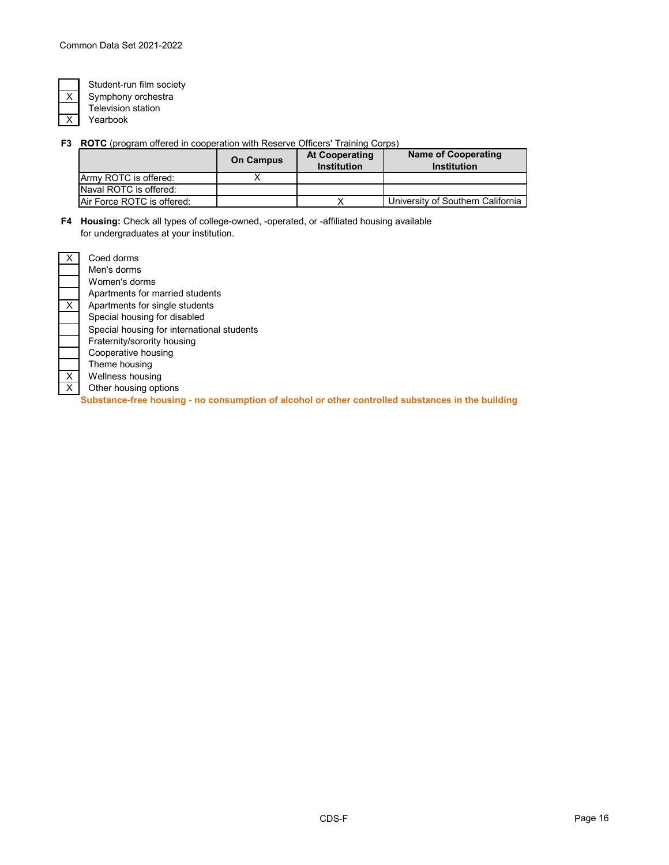Yearbook

Student-run film society Symphony orchestra Television station

**F3 ROTC** (program offered in cooperation with Reserve Officers' Training Corps)

|                            | <b>On Campus</b> | <b>At Cooperating</b><br><b>Institution</b> | <b>Name of Cooperating</b><br><b>Institution</b> |
|----------------------------|------------------|---------------------------------------------|--------------------------------------------------|
| Army ROTC is offered:      |                  |                                             |                                                  |
| Naval ROTC is offered:     |                  |                                             |                                                  |
| Air Force ROTC is offered: |                  |                                             | University of Southern California                |

**F4 Housing:** Check all types of college-owned, -operated, or -affiliated housing available for undergraduates at your institution.

| х | Coed dorms                                                                                        |
|---|---------------------------------------------------------------------------------------------------|
|   | Men's dorms                                                                                       |
|   | Women's dorms                                                                                     |
|   | Apartments for married students                                                                   |
| X | Apartments for single students                                                                    |
|   | Special housing for disabled                                                                      |
|   | Special housing for international students                                                        |
|   | Fraternity/sorority housing                                                                       |
|   | Cooperative housing                                                                               |
|   | Theme housing                                                                                     |
| X | Wellness housing                                                                                  |
| X | Other housing options                                                                             |
|   | Substance-free housing - no consumption of alcohol or other controlled substances in the building |

CDS-F Page 16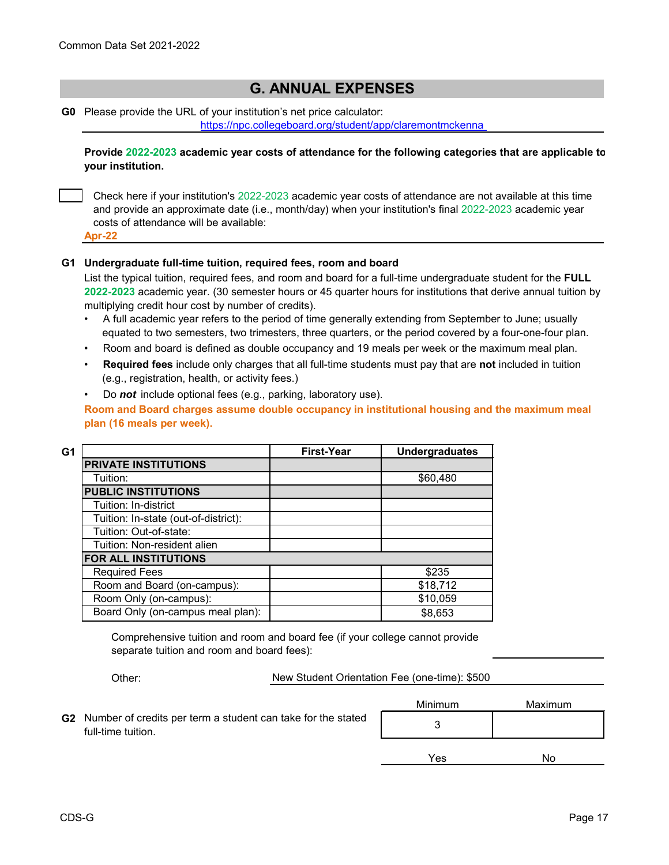# **G. ANNUAL EXPENSES**

**G0** Please provide the URL of your institution's net price calculator:

<https://npc.collegeboard.org/student/app/claremontmckenna>

**Provide 2022-2023 academic year costs of attendance for the following categories that are applicable to your institution.**

Check here if your institution's 2022-2023 academic year costs of attendance are not available at this time and provide an approximate date (i.e., month/day) when your institution's final 2022-2023 academic year costs of attendance will be available:

**Apr-22**

### **G1 Undergraduate full-time tuition, required fees, room and board**

List the typical tuition, required fees, and room and board for a full-time undergraduate student for the **FULL 2022-2023** academic year. (30 semester hours or 45 quarter hours for institutions that derive annual tuition by multiplying credit hour cost by number of credits).

- •A full academic year refers to the period of time generally extending from September to June; usually equated to two semesters, two trimesters, three quarters, or the period covered by a four-one-four plan.
- Room and board is defined as double occupancy and 19 meals per week or the maximum meal plan.
- • **Required fees** include only charges that all full-time students must pay that are **not** included in tuition (e.g., registration, health, or activity fees.)

• Do *not* include optional fees (e.g., parking, laboratory use).

**Room and Board charges assume double occupancy in institutional housing and the maximum meal plan (16 meals per week).**

| G1 |                                      | <b>First-Year</b> | <b>Undergraduates</b> |
|----|--------------------------------------|-------------------|-----------------------|
|    | <b>PRIVATE INSTITUTIONS</b>          |                   |                       |
|    | Tuition:                             |                   | \$60,480              |
|    | <b>PUBLIC INSTITUTIONS</b>           |                   |                       |
|    | Tuition: In-district                 |                   |                       |
|    | Tuition: In-state (out-of-district): |                   |                       |
|    | Tuition: Out-of-state:               |                   |                       |
|    | Tuition: Non-resident alien          |                   |                       |
|    | FOR ALL INSTITUTIONS                 |                   |                       |
|    | <b>Required Fees</b>                 |                   | \$235                 |
|    | Room and Board (on-campus):          |                   | \$18,712              |
|    | Room Only (on-campus):               |                   | \$10,059              |
|    | Board Only (on-campus meal plan):    |                   | \$8,653               |

Comprehensive tuition and room and board fee (if your college cannot provide separate tuition and room and board fees):

Other:

New Student Orientation Fee (one-time): \$500

|                                                                                       | Minimum | Maximum |
|---------------------------------------------------------------------------------------|---------|---------|
| G2 Number of credits per term a student can take for the stated<br>full-time tuition. |         |         |
|                                                                                       | Yes     | No      |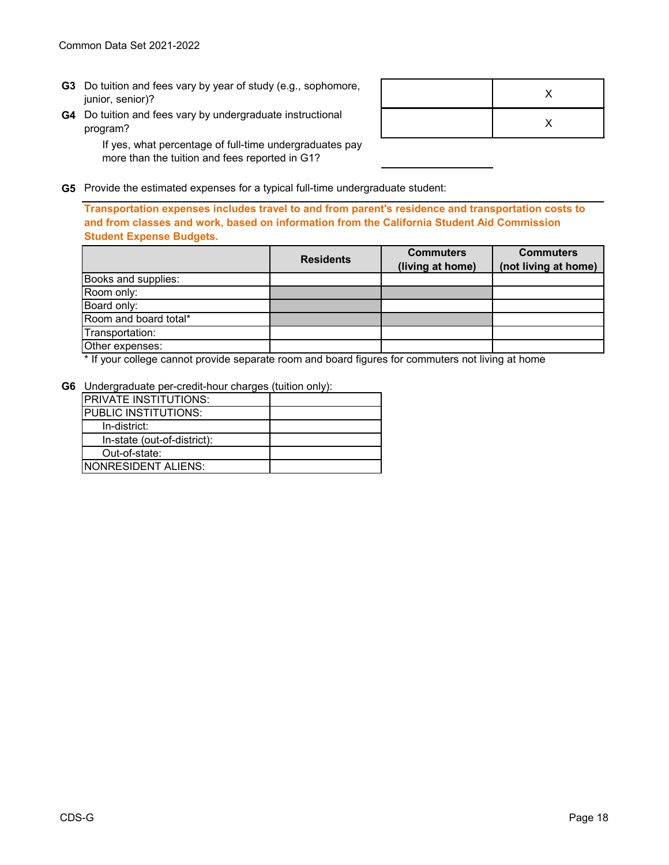- **G3** Do tuition and fees vary by year of study (e.g., sophomore,  $\overline{X}$  )  $\overline{X}$ junior, senior)?
- **G4** Do tuition and fees vary by undergraduate instructional program?

X

If yes, what percentage of full-time undergraduates pay more than the tuition and fees reported in G1?

**G5** Provide the estimated expenses for a typical full-time undergraduate student:

**Transportation expenses includes travel to and from parent's residence and transportation costs to and from classes and work, based on information from the California Student Aid Commission Student Expense Budgets.** 

|                       | <b>Residents</b> | <b>Commuters</b> | <b>Commuters</b>     |  |
|-----------------------|------------------|------------------|----------------------|--|
|                       |                  | (living at home) | (not living at home) |  |
| Books and supplies:   |                  |                  |                      |  |
| Room only:            |                  |                  |                      |  |
| Board only:           |                  |                  |                      |  |
| Room and board total* |                  |                  |                      |  |
| Transportation:       |                  |                  |                      |  |
| Other expenses:       |                  |                  |                      |  |

\* If your college cannot provide separate room and board figures for commuters not living at home

**G6** Undergraduate per-credit-hour charges (tuition only):

| <b>PRIVATE INSTITUTIONS:</b> |  |
|------------------------------|--|
| <b>PUBLIC INSTITUTIONS:</b>  |  |
| In-district:                 |  |
| In-state (out-of-district):  |  |
| Out-of-state:                |  |
| INONRESIDENT ALIENS:         |  |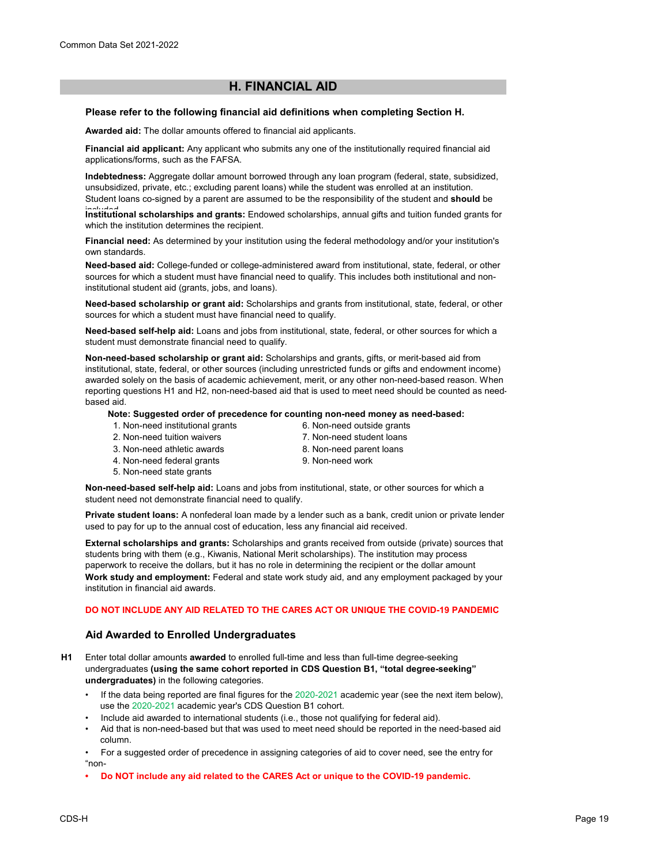# **H. FINANCIAL AID**

### **Please refer to the following financial aid definitions when completing Section H.**

**Awarded aid:** The dollar amounts offered to financial aid applicants.

**Financial aid applicant:** Any applicant who submits any one of the institutionally required financial aid applications/forms, such as the FAFSA.

**Indebtedness:** Aggregate dollar amount borrowed through any loan program (federal, state, subsidized, unsubsidized, private, etc.; excluding parent loans) while the student was enrolled at an institution. Student loans co-signed by a parent are assumed to be the responsibility of the student and **should** be

Institutional scholarships and grants: Endowed scholarships, annual gifts and tuition funded grants for which the institution determines the recipient.

**Financial need:** As determined by your institution using the federal methodology and/or your institution's own standards.

**Need-based aid:** College-funded or college-administered award from institutional, state, federal, or other sources for which a student must have financial need to qualify. This includes both institutional and noninstitutional student aid (grants, jobs, and loans).

**Need-based scholarship or grant aid:** Scholarships and grants from institutional, state, federal, or other sources for which a student must have financial need to qualify.

**Need-based self-help aid:** Loans and jobs from institutional, state, federal, or other sources for which a student must demonstrate financial need to qualify.

**Non-need-based scholarship or grant aid:** Scholarships and grants, gifts, or merit-based aid from institutional, state, federal, or other sources (including unrestricted funds or gifts and endowment income) awarded solely on the basis of academic achievement, merit, or any other non-need-based reason. When reporting questions H1 and H2, non-need-based aid that is used to meet need should be counted as needbased aid.

**Note: Suggested order of precedence for counting non-need money as need-based:**

- 1. Non-need institutional grants
- 2. Non-need tuition waivers
- 3. Non-need athletic awards
- 4. Non-need federal grants
- 5. Non-need state grants
- 9. Non-need work

6. Non-need outside grants 7. Non-need student loans 8. Non-need parent loans

**Non-need-based self-help aid:** Loans and jobs from institutional, state, or other sources for which a student need not demonstrate financial need to qualify.

**Private student loans:** A nonfederal loan made by a lender such as a bank, credit union or private lender used to pay for up to the annual cost of education, less any financial aid received.

**External scholarships and grants:** Scholarships and grants received from outside (private) sources that students bring with them (e.g., Kiwanis, National Merit scholarships). The institution may process paperwork to receive the dollars, but it has no role in determining the recipient or the dollar amount **Work study and employment:** Federal and state work study aid, and any employment packaged by your institution in financial aid awards.

# **DO NOT INCLUDE ANY AID RELATED TO THE CARES ACT OR UNIQUE THE COVID-19 PANDEMIC**

# **Aid Awarded to Enrolled Undergraduates**

- **H1** Enter total dollar amounts **awarded** to enrolled full-time and less than full-time degree-seeking undergraduates **(using the same cohort reported in CDS Question B1, "total degree-seeking" undergraduates)** in the following categories.
	- If the data being reported are final figures for the 2020-2021 academic year (see the next item below), use the 2020-2021 academic year's CDS Question B1 cohort.
	- Include aid awarded to international students (i.e., those not qualifying for federal aid).
	- Aid that is non-need-based but that was used to meet need should be reported in the need-based aid column.
	- For a suggested order of precedence in assigning categories of aid to cover need, see the entry for "non-
	- **Do NOT include any aid related to the CARES Act or unique to the COVID-19 pandemic.**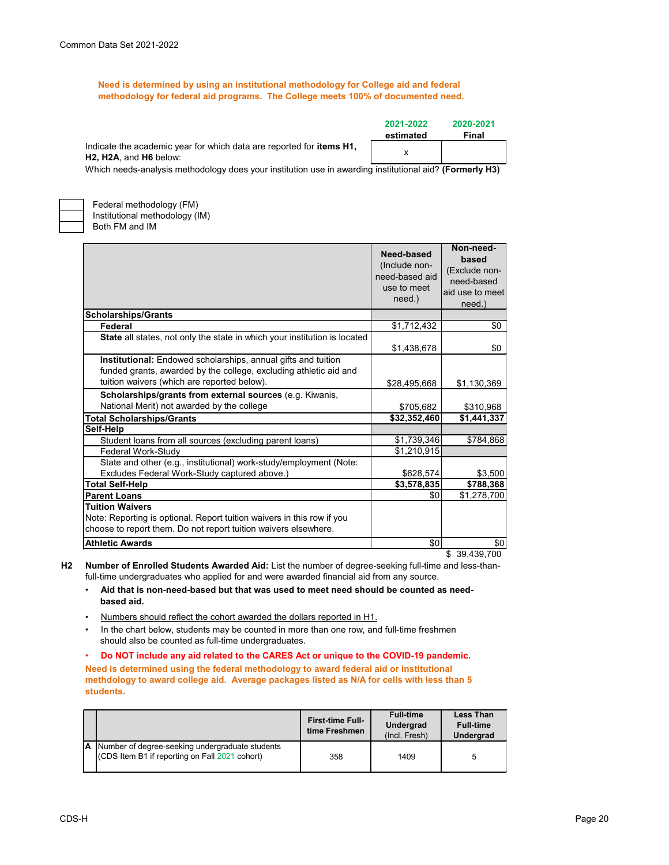**Need is determined by using an institutional methodology for College aid and federal methodology for federal aid programs. The College meets 100% of documented need.**

|                                                                                                                                              | 2021-2022 | 2020-2021 |
|----------------------------------------------------------------------------------------------------------------------------------------------|-----------|-----------|
|                                                                                                                                              | estimated | Final     |
| Indicate the academic year for which data are reported for <b>items H1</b> ,<br>H <sub>2</sub> , H <sub>2</sub> A, and H <sub>6</sub> below: |           |           |

Which needs-analysis methodology does your institution use in awarding institutional aid? **(Formerly H3)**



Both FM and IM Federal methodology (FM) Institutional methodology (IM)

|                                                                                                                                                                                   | Need-based<br>(Include non-<br>need-based aid<br>use to meet<br>need.) | Non-need-<br>based<br>(Exclude non-<br>need-based<br>aid use to meet<br>need.) |
|-----------------------------------------------------------------------------------------------------------------------------------------------------------------------------------|------------------------------------------------------------------------|--------------------------------------------------------------------------------|
| <b>Scholarships/Grants</b>                                                                                                                                                        |                                                                        |                                                                                |
| Federal                                                                                                                                                                           | \$1,712,432                                                            | \$0                                                                            |
| State all states, not only the state in which your institution is located                                                                                                         | \$1,438,678                                                            | \$0                                                                            |
| Institutional: Endowed scholarships, annual gifts and tuition<br>funded grants, awarded by the college, excluding athletic aid and<br>tuition waivers (which are reported below). | \$28,495,668                                                           | \$1,130,369                                                                    |
| Scholarships/grants from external sources (e.g. Kiwanis,                                                                                                                          |                                                                        |                                                                                |
| National Merit) not awarded by the college                                                                                                                                        | \$705,682                                                              | \$310,968                                                                      |
| <b>Total Scholarships/Grants</b>                                                                                                                                                  | \$32,352,460                                                           | \$1,441,337                                                                    |
| Self-Help                                                                                                                                                                         |                                                                        |                                                                                |
| Student loans from all sources (excluding parent loans)                                                                                                                           | \$1,739,346                                                            | \$784,868                                                                      |
| Federal Work-Study                                                                                                                                                                | \$1,210,915                                                            |                                                                                |
| State and other (e.g., institutional) work-study/employment (Note:                                                                                                                |                                                                        |                                                                                |
| Excludes Federal Work-Study captured above.)                                                                                                                                      | \$628,574                                                              | \$3,500                                                                        |
| <b>Total Self-Help</b>                                                                                                                                                            | \$3,578,835                                                            | \$788,368                                                                      |
| <b>Parent Loans</b>                                                                                                                                                               | \$0                                                                    | \$1,278,700                                                                    |
| <b>Tuition Waivers</b><br>Note: Reporting is optional. Report tuition waivers in this row if you<br>choose to report them. Do not report tuition waivers elsewhere.               |                                                                        |                                                                                |
| <b>Athletic Awards</b>                                                                                                                                                            | \$0                                                                    | \$0                                                                            |
|                                                                                                                                                                                   |                                                                        | \$39,439,700                                                                   |

**H2 Number of Enrolled Students Awarded Aid:** List the number of degree-seeking full-time and less-thanfull-time undergraduates who applied for and were awarded financial aid from any source.

- • **Aid that is non-need-based but that was used to meet need should be counted as need based aid.**
- Numbers should reflect the cohort awarded the dollars reported in H1.
- In the chart below, students may be counted in more than one row, and full-time freshmen should also be counted as full-time undergraduates.

• **Do NOT include any aid related to the CARES Act or unique to the COVID-19 pandemic. Need is determined using the federal methodology to award federal aid or institutional methdology to award college aid. Average packages listed as N/A for cells with less than 5 students.**

|                                                                                                     | <b>First-time Full-</b><br>time Freshmen | <b>Full-time</b><br><b>Undergrad</b><br>(Incl. Fresh) | <b>Less Than</b><br><b>Full-time</b><br><b>Undergrad</b> |
|-----------------------------------------------------------------------------------------------------|------------------------------------------|-------------------------------------------------------|----------------------------------------------------------|
| A Number of degree-seeking undergraduate students<br>(CDS Item B1 if reporting on Fall 2021 cohort) | 358                                      | 1409                                                  |                                                          |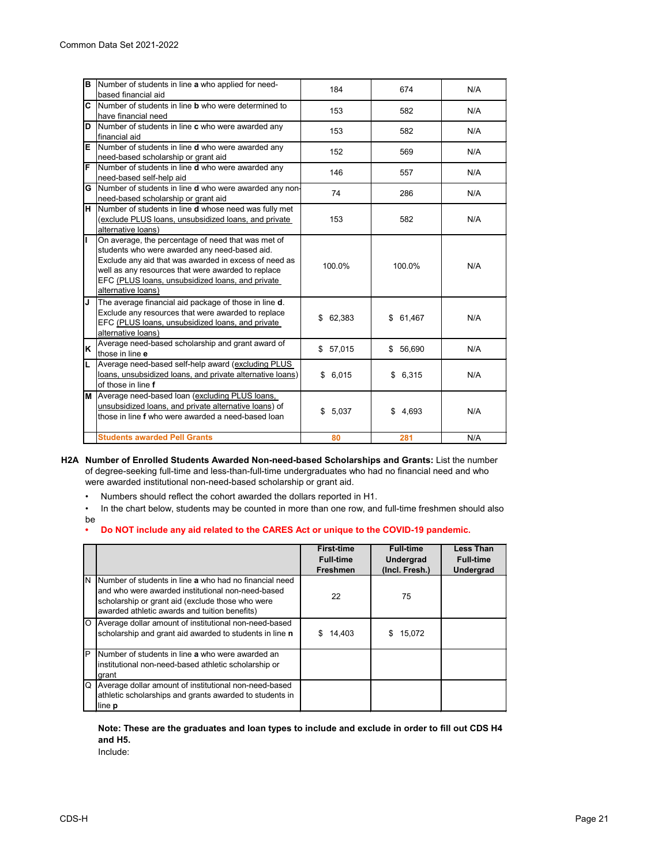| B  | Number of students in line a who applied for need-<br>based financial aid                                                                                                                                                                                                                    | 184          | 674          | N/A |
|----|----------------------------------------------------------------------------------------------------------------------------------------------------------------------------------------------------------------------------------------------------------------------------------------------|--------------|--------------|-----|
|    | C Number of students in line <b>b</b> who were determined to<br>have financial need                                                                                                                                                                                                          | 153          | 582          | N/A |
| D  | Number of students in line c who were awarded any<br>financial aid                                                                                                                                                                                                                           | 153          | 582          | N/A |
| E  | Number of students in line <b>d</b> who were awarded any<br>need-based scholarship or grant aid                                                                                                                                                                                              | 152          | 569          | N/A |
| F  | Number of students in line <b>d</b> who were awarded any<br>need-based self-help aid                                                                                                                                                                                                         | 146          | 557          | N/A |
|    | G Number of students in line d who were awarded any non-<br>need-based scholarship or grant aid                                                                                                                                                                                              | 74           | 286          | N/A |
|    | H Number of students in line d whose need was fully met<br>(exclude PLUS loans, unsubsidized loans, and private<br>alternative loans)                                                                                                                                                        | 153          | 582          | N/A |
| Γ  | On average, the percentage of need that was met of<br>students who were awarded any need-based aid.<br>Exclude any aid that was awarded in excess of need as<br>well as any resources that were awarded to replace<br>EFC (PLUS loans, unsubsidized loans, and private<br>alternative loans) | 100.0%       | 100.0%       | N/A |
| IJ | The average financial aid package of those in line d.<br>Exclude any resources that were awarded to replace<br>EFC (PLUS loans, unsubsidized loans, and private<br>alternative loans)                                                                                                        | \$<br>62,383 | \$<br>61,467 | N/A |
| Ιĸ | Average need-based scholarship and grant award of<br>those in line e                                                                                                                                                                                                                         | \$57,015     | \$56,690     | N/A |
|    | Average need-based self-help award (excluding PLUS<br>loans, unsubsidized loans, and private alternative loans)<br>of those in line f                                                                                                                                                        | \$6,015      | \$6,315      | N/A |
| M  | Average need-based loan (excluding PLUS loans,<br>unsubsidized loans, and private alternative loans) of<br>those in line f who were awarded a need-based loan                                                                                                                                | 5,037<br>\$  | 4,693<br>\$  | N/A |
|    | <b>Students awarded Pell Grants</b>                                                                                                                                                                                                                                                          | 80           | 281          | N/A |

### **H2A Number of Enrolled Students Awarded Non-need-based Scholarships and Grants:** List the number of degree-seeking full-time and less-than-full-time undergraduates who had no financial need and who were awarded institutional non-need-based scholarship or grant aid.

- Numbers should reflect the cohort awarded the dollars reported in H1.
- In the chart below, students may be counted in more than one row, and full-time freshmen should also
- be

### **• Do NOT include any aid related to the CARES Act or unique to the COVID-19 pandemic.**

|          |                                                                                                                                                                                                                    | <b>First-time</b><br><b>Full-time</b><br><b>Freshmen</b> | <b>Full-time</b><br><b>Undergrad</b><br>(Incl. Fresh.) | <b>Less Than</b><br><b>Full-time</b><br><b>Undergrad</b> |
|----------|--------------------------------------------------------------------------------------------------------------------------------------------------------------------------------------------------------------------|----------------------------------------------------------|--------------------------------------------------------|----------------------------------------------------------|
|          | N Number of students in line a who had no financial need<br>and who were awarded institutional non-need-based<br>scholarship or grant aid (exclude those who were<br>awarded athletic awards and tuition benefits) | 22                                                       | 75                                                     |                                                          |
|          | O Average dollar amount of institutional non-need-based<br>scholarship and grant aid awarded to students in line n                                                                                                 | 14,403                                                   | 15,072                                                 |                                                          |
| <b>P</b> | Number of students in line a who were awarded an<br>institutional non-need-based athletic scholarship or<br>Igrant                                                                                                 |                                                          |                                                        |                                                          |
|          | Q Average dollar amount of institutional non-need-based<br>athletic scholarships and grants awarded to students in<br>line <b>p</b>                                                                                |                                                          |                                                        |                                                          |

## **Note: These are the graduates and loan types to include and exclude in order to fill out CDS H4 and H5.**

Include: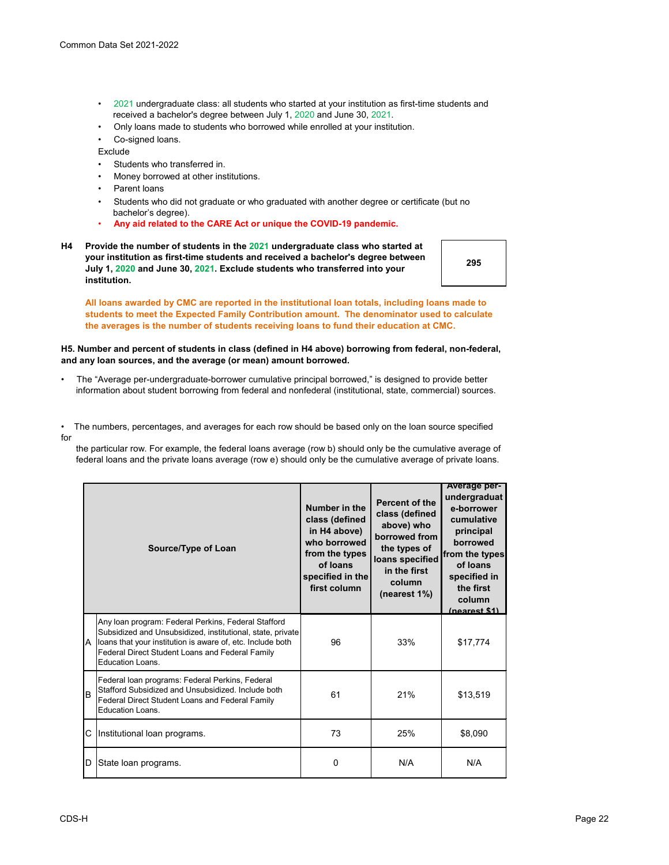- •2021 undergraduate class: all students who started at your institution as first-time students and received a bachelor's degree between July 1, 2020 and June 30, 2021.
- Only loans made to students who borrowed while enrolled at your institution.
- Co-signed loans.

Exclude

- Students who transferred in.
- Money borrowed at other institutions.
- Parent loans
- Students who did not graduate or who graduated with another degree or certificate (but no bachelor's degree).
- **Any aid related to the CARE Act or unique the COVID-19 pandemic.**
- **H4 Provide the number of students in the 2021 undergraduate class who started at your institution as first-time students and received a bachelor's degree between July 1, 2020 and June 30, 2021. Exclude students who transferred into your institution.**

**295**

**All loans awarded by CMC are reported in the institutional loan totals, including loans made to students to meet the Expected Family Contribution amount. The denominator used to calculate the averages is the number of students receiving loans to fund their education at CMC.**

### **H5. Number and percent of students in class (defined in H4 above) borrowing from federal, non-federal, and any loan sources, and the average (or mean) amount borrowed.**

- The "Average per-undergraduate-borrower cumulative principal borrowed," is designed to provide better information about student borrowing from federal and nonfederal (institutional, state, commercial) sources.
- The numbers, percentages, and averages for each row should be based only on the loan source specified for

 the particular row. For example, the federal loans average (row b) should only be the cumulative average of federal loans and the private loans average (row e) should only be the cumulative average of private loans.

|     | Source/Type of Loan                                                                                                                                                                                                                                    | Number in the<br>class (defined<br>in H4 above)<br>who borrowed<br>from the types<br>of loans<br>specified in the<br>first column | <b>Percent of the</b><br>class (defined<br>above) who<br>borrowed from<br>the types of<br>loans specified<br>in the first<br>column<br>(nearest 1%) | <b>Average per-</b><br>undergraduat<br>e-borrower<br>cumulative<br>principal<br>borrowed<br>from the types<br>of loans<br>specified in<br>the first<br>column<br>(nearest \$1) |
|-----|--------------------------------------------------------------------------------------------------------------------------------------------------------------------------------------------------------------------------------------------------------|-----------------------------------------------------------------------------------------------------------------------------------|-----------------------------------------------------------------------------------------------------------------------------------------------------|--------------------------------------------------------------------------------------------------------------------------------------------------------------------------------|
| IA. | Any loan program: Federal Perkins, Federal Stafford<br>Subsidized and Unsubsidized, institutional, state, private<br>loans that your institution is aware of, etc. Include both<br>Federal Direct Student Loans and Federal Family<br>Education Loans. | 96                                                                                                                                | 33%                                                                                                                                                 | \$17,774                                                                                                                                                                       |
| lв  | Federal loan programs: Federal Perkins, Federal<br>Stafford Subsidized and Unsubsidized. Include both<br>Federal Direct Student Loans and Federal Family<br><b>Education Loans.</b>                                                                    | 61                                                                                                                                | 21%                                                                                                                                                 | \$13,519                                                                                                                                                                       |
|     | C Institutional loan programs.                                                                                                                                                                                                                         | 73                                                                                                                                | 25%                                                                                                                                                 | \$8,090                                                                                                                                                                        |
| ID. | State loan programs.                                                                                                                                                                                                                                   | $\Omega$                                                                                                                          | N/A                                                                                                                                                 | N/A                                                                                                                                                                            |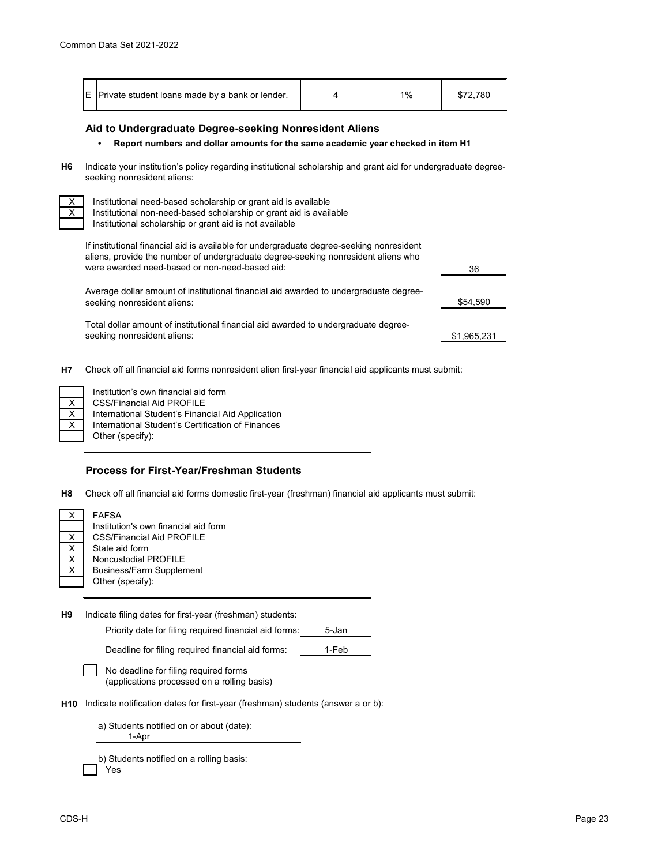|  | E Private student loans made by a bank or lender. |  | 10/2 |  |
|--|---------------------------------------------------|--|------|--|
|--|---------------------------------------------------|--|------|--|

# **Aid to Undergraduate Degree-seeking Nonresident Aliens**

#### **• Report numbers and dollar amounts for the same academic year checked in item H1**

**H6** Indicate your institution's policy regarding institutional scholarship and grant aid for undergraduate degreeseeking nonresident aliens:

Institutional need-based scholarship or grant aid is available Institutional non-need-based scholarship or grant aid is available Institutional scholarship or grant aid is not available

If institutional financial aid is available for undergraduate degree-seeking nonresident aliens, provide the number of undergraduate degree-seeking nonresident aliens who were awarded need-based or non-need-based aid:

\$54,590 Average dollar amount of institutional financial aid awarded to undergraduate degreeseeking nonresident aliens:

36

\$1,965,231

Total dollar amount of institutional financial aid awarded to undergraduate degreeseeking nonresident aliens:

**H7** Check off all financial aid forms nonresident alien first-year financial aid applicants must submit:

International Student's Certification of Finances Other (specify): CSS/Financial Aid PROFILE International Student's Financial Aid Application Institution's own financial aid form

### **Process for First-Year/Freshman Students**

**H8** Check off all financial aid forms domestic first-year (freshman) financial aid applicants must submit:

Business/Farm Supplement Other (specify): State aid form Noncustodial PROFILE FAFSA Institution's own financial aid form CSS/Financial Aid PROFILE

**H9** Indicate filing dates for first-year (freshman) students:

Priority date for filing required financial aid forms: 5-Jan

Deadline for filing required financial aid forms: 1-Feb

| No deadline fo  |
|-----------------|
| (annlications r |

or filing required forms (applications processed on a rolling basis)

**H10** Indicate notification dates for first-year (freshman) students (answer a or b):

a) Students notified on or about (date): 1-Apr

| b) Students notified on a rolling basis: |
|------------------------------------------|
| $\Box$ Yes                               |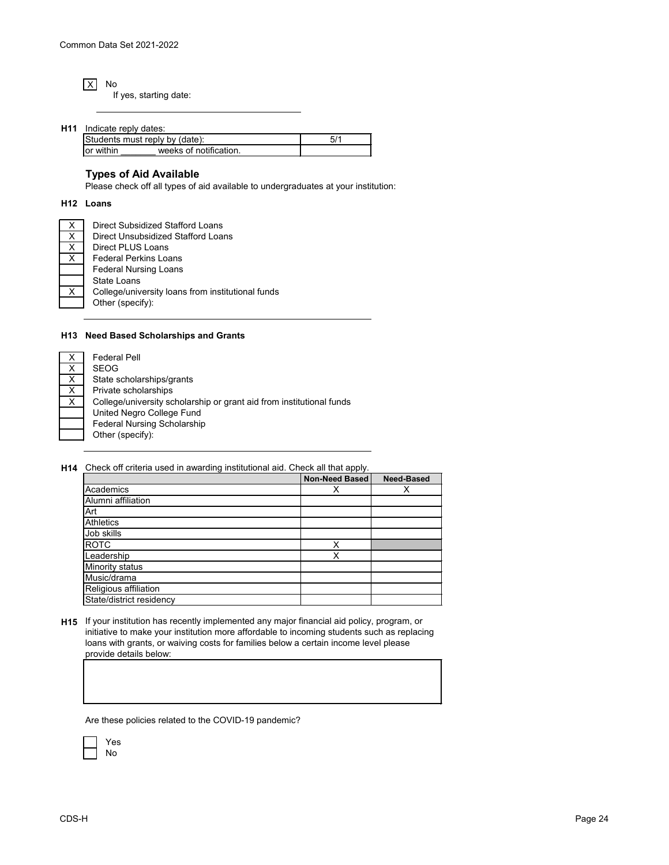X No If yes, starting date:

| H11 | Indicate reply dates:          |  |
|-----|--------------------------------|--|
|     | Students must reply by (date): |  |

| Students must reply by (date): |                        |  |
|--------------------------------|------------------------|--|
| or within                      | weeks of notification. |  |
|                                |                        |  |

# **Types of Aid Available**

Please check off all types of aid available to undergraduates at your institution:

#### **H12 Loans**

X X  $\times$ X X

| Direct Subsidized Stafford Loans                  |
|---------------------------------------------------|
| Direct Unsubsidized Stafford Loans                |
| Direct PLUS Loans                                 |
| Federal Perkins Loans                             |
| <b>Federal Nursing Loans</b>                      |
| State Loans                                       |
| College/university loans from institutional funds |
| Other (specify):                                  |
|                                                   |

### **H13 Need Based Scholarships and Grants**

| <b>Federal Pell</b>                                                  |
|----------------------------------------------------------------------|
| <b>SEOG</b>                                                          |
| State scholarships/grants                                            |
| Private scholarships                                                 |
| College/university scholarship or grant aid from institutional funds |
| United Negro College Fund                                            |
| <b>Federal Nursing Scholarship</b>                                   |
| Other (specify):                                                     |
|                                                                      |

**H14** Check off criteria used in awarding institutional aid. Check all that apply.

|                          | <b>Non-Need Based</b> | <b>Need-Based</b> |
|--------------------------|-----------------------|-------------------|
| Academics                | Х                     |                   |
| Alumni affiliation       |                       |                   |
| Art                      |                       |                   |
| <b>Athletics</b>         |                       |                   |
| Job skills               |                       |                   |
| <b>ROTC</b>              | Χ                     |                   |
| Leadership               | Χ                     |                   |
| Minority status          |                       |                   |
| Music/drama              |                       |                   |
| Religious affiliation    |                       |                   |
| State/district residency |                       |                   |

**H15** If your institution has recently implemented any major financial aid policy, program, or initiative to make your institution more affordable to incoming students such as replacing loans with grants, or waiving costs for families below a certain income level please provide details below:

Are these policies related to the COVID-19 pandemic?

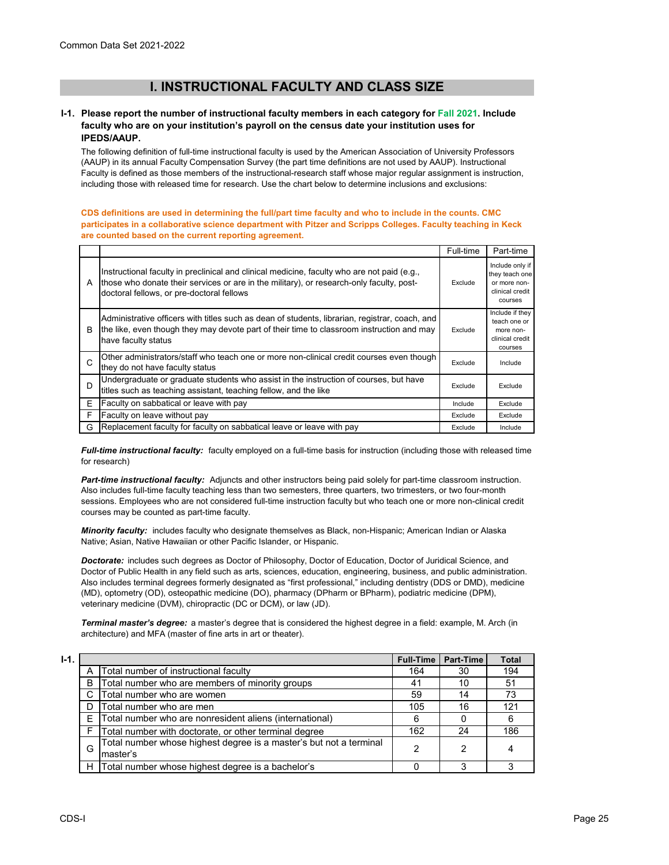# **I. INSTRUCTIONAL FACULTY AND CLASS SIZE**

### **I-1. Please report the number of instructional faculty members in each category for Fall 2021. Include faculty who are on your institution's payroll on the census date your institution uses for IPEDS/AAUP.**

The following definition of full-time instructional faculty is used by the American Association of University Professors (AAUP) in its annual Faculty Compensation Survey (the part time definitions are not used by AAUP). Instructional Faculty is defined as those members of the instructional-research staff whose major regular assignment is instruction, including those with released time for research. Use the chart below to determine inclusions and exclusions:

#### **CDS definitions are used in determining the full/part time faculty and who to include in the counts. CMC participates in a collaborative science department with Pitzer and Scripps Colleges. Faculty teaching in Keck are counted based on the current reporting agreement.**

|   |                                                                                                                                                                                                                                      | Full-time | Part-time                                                                       |
|---|--------------------------------------------------------------------------------------------------------------------------------------------------------------------------------------------------------------------------------------|-----------|---------------------------------------------------------------------------------|
| A | Instructional faculty in preclinical and clinical medicine, faculty who are not paid (e.g.,<br>those who donate their services or are in the military), or research-only faculty, post-<br>doctoral fellows, or pre-doctoral fellows | Exclude   | Include only if<br>they teach one<br>or more non-<br>clinical credit<br>courses |
| B | Administrative officers with titles such as dean of students, librarian, registrar, coach, and<br>the like, even though they may devote part of their time to classroom instruction and may<br>have faculty status                   | Exclude   | Include if they<br>teach one or<br>more non-<br>clinical credit<br>courses      |
| C | Other administrators/staff who teach one or more non-clinical credit courses even though<br>they do not have faculty status                                                                                                          | Exclude   | Include                                                                         |
| D | Undergraduate or graduate students who assist in the instruction of courses, but have<br>titles such as teaching assistant, teaching fellow, and the like                                                                            | Exclude   | Exclude                                                                         |
| F | Faculty on sabbatical or leave with pay                                                                                                                                                                                              | Include   | Exclude                                                                         |
| F | Faculty on leave without pay                                                                                                                                                                                                         | Exclude   | Exclude                                                                         |
| G | Replacement faculty for faculty on sabbatical leave or leave with pay                                                                                                                                                                | Exclude   | Include                                                                         |

*Full-time instructional faculty:* faculty employed on a full-time basis for instruction (including those with released time for research)

*Part-time instructional faculty:* Adjuncts and other instructors being paid solely for part-time classroom instruction. Also includes full-time faculty teaching less than two semesters, three quarters, two trimesters, or two four-month sessions. Employees who are not considered full-time instruction faculty but who teach one or more non-clinical credit courses may be counted as part-time faculty.

*Minority faculty:* includes faculty who designate themselves as Black, non-Hispanic; American Indian or Alaska Native; Asian, Native Hawaiian or other Pacific Islander, or Hispanic.

*Doctorate:* includes such degrees as Doctor of Philosophy, Doctor of Education, Doctor of Juridical Science, and Doctor of Public Health in any field such as arts, sciences, education, engineering, business, and public administration. Also includes terminal degrees formerly designated as "first professional," including dentistry (DDS or DMD), medicine (MD), optometry (OD), osteopathic medicine (DO), pharmacy (DPharm or BPharm), podiatric medicine (DPM), veterinary medicine (DVM), chiropractic (DC or DCM), or law (JD).

*Terminal master's degree:* a master's degree that is considered the highest degree in a field: example, M. Arch (in architecture) and MFA (master of fine arts in art or theater).

| ٦<br>۰. |  |
|---------|--|

| $I-1.$ |   |                                                                                | Full-Time | <b>Part-Time</b> | <b>Total</b> |
|--------|---|--------------------------------------------------------------------------------|-----------|------------------|--------------|
|        | Α | Total number of instructional faculty                                          | 164       | 30               | 194          |
|        | B | Total number who are members of minority groups                                | 41        | 10               | 51           |
|        | C | Total number who are women                                                     | 59        | 14               | 73           |
|        |   | Total number who are men                                                       | 105       | 16               | 121          |
|        | F | Total number who are nonresident aliens (international)                        | 6         |                  | 6            |
|        |   | Total number with doctorate, or other terminal degree                          | 162       | 24               | 186          |
|        | G | Total number whose highest degree is a master's but not a terminal<br>master's | 2         | 2                | 4            |
|        | H | Total number whose highest degree is a bachelor's                              |           |                  |              |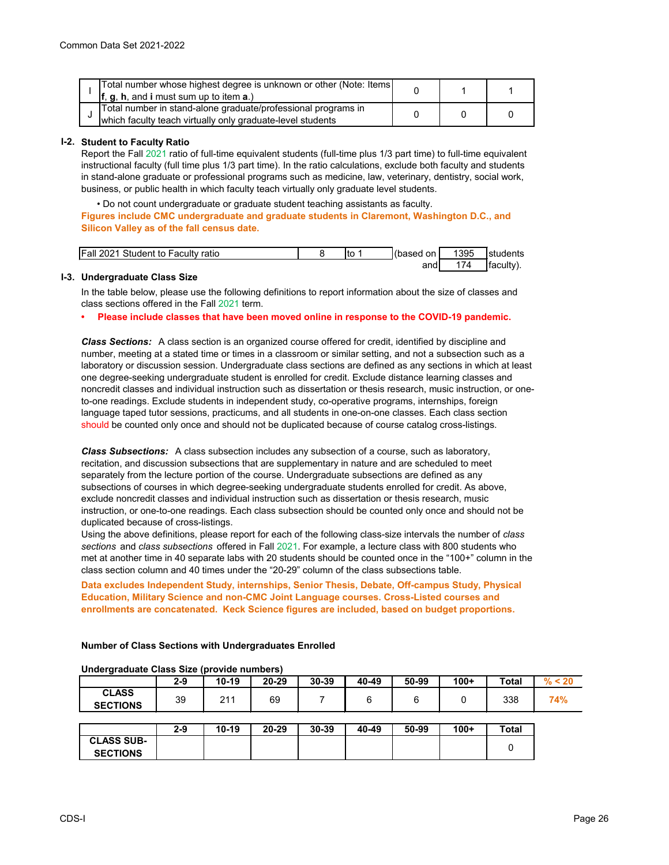| Total number whose highest degree is unknown or other (Note: Items)<br><b>f</b> , $g$ , $h$ , and <b>i</b> must sum up to item $a$ .) |  |  |
|---------------------------------------------------------------------------------------------------------------------------------------|--|--|
| Total number in stand-alone graduate/professional programs in<br>which faculty teach virtually only graduate-level students           |  |  |

### **I-2. Student to Faculty Ratio**

Report the Fall 2021 ratio of full-time equivalent students (full-time plus 1/3 part time) to full-time equivalent instructional faculty (full time plus 1/3 part time). In the ratio calculations, exclude both faculty and students in stand-alone graduate or professional programs such as medicine, law, veterinary, dentistry, social work, business, or public health in which faculty teach virtually only graduate level students.

• Do not count undergraduate or graduate student teaching assistants as faculty.

**Figures include CMC undergraduate and graduate students in Claremont, Washington D.C., and Silicon Valley as of the fall census date.** 

| <b>Fall 2021</b><br>$\sim$<br>Student to Faculty ratio | Ito | (based on | 1395 | 'students |
|--------------------------------------------------------|-----|-----------|------|-----------|
|                                                        |     | and       |      | Ifacult∨` |

### **I-3. Undergraduate Class Size**

In the table below, please use the following definitions to report information about the size of classes and class sections offered in the Fall 2021 term.

#### **• Please include classes that have been moved online in response to the COVID-19 pandemic.**

*Class Sections:* A class section is an organized course offered for credit, identified by discipline and number, meeting at a stated time or times in a classroom or similar setting, and not a subsection such as a laboratory or discussion session. Undergraduate class sections are defined as any sections in which at least one degree-seeking undergraduate student is enrolled for credit. Exclude distance learning classes and noncredit classes and individual instruction such as dissertation or thesis research, music instruction, or oneto-one readings. Exclude students in independent study, co-operative programs, internships, foreign language taped tutor sessions, practicums, and all students in one-on-one classes. Each class section should be counted only once and should not be duplicated because of course catalog cross-listings.

*Class Subsections:* A class subsection includes any subsection of a course, such as laboratory, recitation, and discussion subsections that are supplementary in nature and are scheduled to meet separately from the lecture portion of the course. Undergraduate subsections are defined as any subsections of courses in which degree-seeking undergraduate students enrolled for credit. As above, exclude noncredit classes and individual instruction such as dissertation or thesis research, music instruction, or one-to-one readings. Each class subsection should be counted only once and should not be duplicated because of cross-listings.

Using the above definitions, please report for each of the following class-size intervals the number of *class sections* and *class subsections* offered in Fall 2021. For example, a lecture class with 800 students who met at another time in 40 separate labs with 20 students should be counted once in the "100+" column in the class section column and 40 times under the "20-29" column of the class subsections table.

**Data excludes Independent Study, internships, Senior Thesis, Debate, Off-campus Study, Physical Education, Military Science and non-CMC Joint Language courses. Cross-Listed courses and enrollments are concatenated. Keck Science figures are included, based on budget proportions.**

| Undergraduate Class Size (provide numbers) |         |           |           |       |       |       |        |              |     |
|--------------------------------------------|---------|-----------|-----------|-------|-------|-------|--------|--------------|-----|
|                                            | $2 - 9$ | $10 - 19$ | $20 - 29$ | 30-39 | 40-49 | 50-99 | $100+$ | <b>Total</b> |     |
| <b>CLASS</b><br><b>SECTIONS</b>            | 39      | 211       | 69        |       |       |       |        | 338          | 74% |
|                                            |         |           |           |       |       |       |        |              |     |

**Number of Class Sections with Undergraduates Enrolled**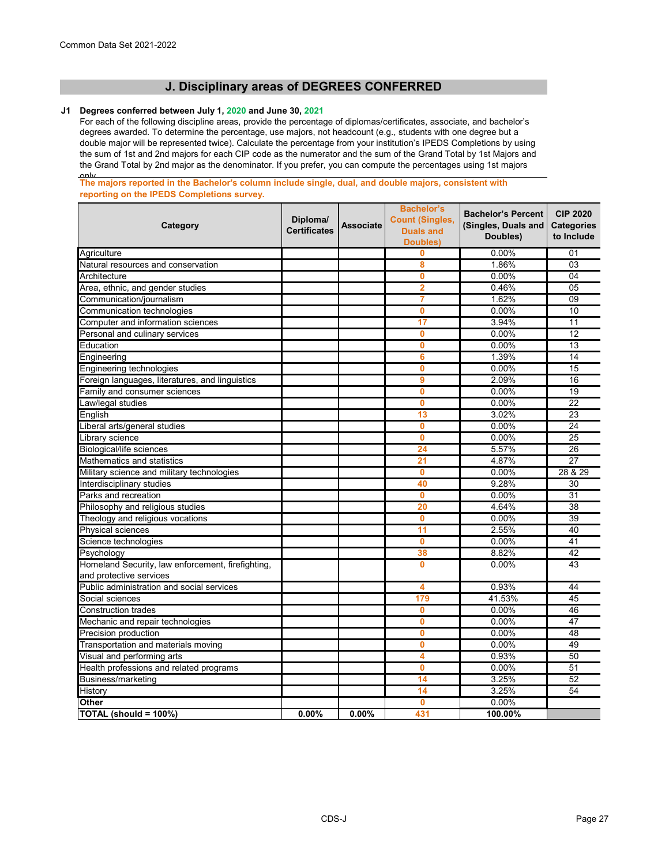# **J. Disciplinary areas of DEGREES CONFERRED**

# **J1 Degrees conferred between July 1, 2020 and June 30, 2021**

For each of the following discipline areas, provide the percentage of diplomas/certificates, associate, and bachelor's degrees awarded. To determine the percentage, use majors, not headcount (e.g., students with one degree but a double major will be represented twice). Calculate the percentage from your institution's IPEDS Completions by using the sum of 1st and 2nd majors for each CIP code as the numerator and the sum of the Grand Total by 1st Majors and the Grand Total by 2nd major as the denominator. If you prefer, you can compute the percentages using 1st majors

only **The majors reported in the Bachelor's column include single, dual, and double majors, consistent with reporting on the IPEDS Completions survey.** 

| Category                                                                     | Diploma/<br><b>Certificates</b> | <b>Associate</b> | <b>Bachelor's</b><br><b>Count (Singles,</b><br><b>Duals and</b><br><b>Doubles)</b> | <b>Bachelor's Percent</b><br>(Singles, Duals and<br>Doubles) | <b>CIP 2020</b><br><b>Categories</b><br>to Include |
|------------------------------------------------------------------------------|---------------------------------|------------------|------------------------------------------------------------------------------------|--------------------------------------------------------------|----------------------------------------------------|
| Agriculture                                                                  |                                 |                  | 0                                                                                  | 0.00%                                                        | 01                                                 |
| Natural resources and conservation                                           |                                 |                  | 8                                                                                  | 1.86%                                                        | $\overline{03}$                                    |
| Architecture                                                                 |                                 |                  | $\mathbf 0$                                                                        | 0.00%                                                        | 04                                                 |
| Area, ethnic, and gender studies                                             |                                 |                  | $\overline{2}$                                                                     | 0.46%                                                        | 05                                                 |
| Communication/journalism                                                     |                                 |                  | 7                                                                                  | 1.62%                                                        | 09                                                 |
| Communication technologies                                                   |                                 |                  | 0                                                                                  | 0.00%                                                        | 10                                                 |
| Computer and information sciences                                            |                                 |                  | $\overline{17}$                                                                    | 3.94%                                                        | 11                                                 |
| Personal and culinary services                                               |                                 |                  | 0                                                                                  | 0.00%                                                        | 12                                                 |
| Education                                                                    |                                 |                  | 0                                                                                  | 0.00%                                                        | 13                                                 |
| Engineering                                                                  |                                 |                  | 6                                                                                  | 1.39%                                                        | 14                                                 |
| Engineering technologies                                                     |                                 |                  | 0                                                                                  | 0.00%                                                        | 15                                                 |
| Foreign languages, literatures, and linguistics                              |                                 |                  | 9                                                                                  | 2.09%                                                        | 16                                                 |
| Family and consumer sciences                                                 |                                 |                  | $\mathbf 0$                                                                        | 0.00%                                                        | 19                                                 |
| Law/legal studies                                                            |                                 |                  | $\bf{0}$                                                                           | 0.00%                                                        | 22                                                 |
| English                                                                      |                                 |                  | 13                                                                                 | 3.02%                                                        | $\overline{23}$                                    |
| Liberal arts/general studies                                                 |                                 |                  | 0                                                                                  | 0.00%                                                        | $\overline{24}$                                    |
| Library science                                                              |                                 |                  | $\bf{0}$                                                                           | 0.00%                                                        | 25                                                 |
| <b>Biological/life sciences</b>                                              |                                 |                  | 24                                                                                 | 5.57%                                                        | 26                                                 |
| Mathematics and statistics                                                   |                                 |                  | 21                                                                                 | 4.87%                                                        | $\overline{27}$                                    |
| Military science and military technologies                                   |                                 |                  | 0                                                                                  | 0.00%                                                        | 28 & 29                                            |
| Interdisciplinary studies                                                    |                                 |                  | 40                                                                                 | 9.28%                                                        | 30                                                 |
| Parks and recreation                                                         |                                 |                  | 0                                                                                  | 0.00%                                                        | 31                                                 |
| Philosophy and religious studies                                             |                                 |                  | 20                                                                                 | 4.64%                                                        | 38                                                 |
| Theology and religious vocations                                             |                                 |                  | 0                                                                                  | 0.00%                                                        | $\overline{39}$                                    |
| Physical sciences                                                            |                                 |                  | 11                                                                                 | 2.55%                                                        | 40                                                 |
| Science technologies                                                         |                                 |                  | 0                                                                                  | 0.00%                                                        | 41                                                 |
| Psychology                                                                   |                                 |                  | 38                                                                                 | 8.82%                                                        | 42                                                 |
| Homeland Security, law enforcement, firefighting,<br>and protective services |                                 |                  | 0                                                                                  | 0.00%                                                        | 43                                                 |
| Public administration and social services                                    |                                 |                  | 4                                                                                  | 0.93%                                                        | 44                                                 |
| Social sciences                                                              |                                 |                  | 179                                                                                | 41.53%                                                       | 45                                                 |
| <b>Construction trades</b>                                                   |                                 |                  | $\mathbf{0}$                                                                       | 0.00%                                                        | 46                                                 |
| Mechanic and repair technologies                                             |                                 |                  | $\mathbf 0$                                                                        | 0.00%                                                        | 47                                                 |
| Precision production                                                         |                                 |                  | 0                                                                                  | 0.00%                                                        | 48                                                 |
| Transportation and materials moving                                          |                                 |                  | 0                                                                                  | 0.00%                                                        | 49                                                 |
| Visual and performing arts                                                   |                                 |                  | 4                                                                                  | 0.93%                                                        | 50                                                 |
| Health professions and related programs                                      |                                 |                  | $\mathbf{0}$                                                                       | 0.00%                                                        | 51                                                 |
| <b>Business/marketing</b>                                                    |                                 |                  | 14                                                                                 | 3.25%                                                        | 52                                                 |
| History                                                                      |                                 |                  | 14                                                                                 | 3.25%                                                        | 54                                                 |
| <b>Other</b>                                                                 |                                 |                  | $\mathbf 0$                                                                        | $0.00\%$                                                     |                                                    |
| TOTAL (should = 100%)                                                        | 0.00%                           | 0.00%            | 431                                                                                | 100.00%                                                      |                                                    |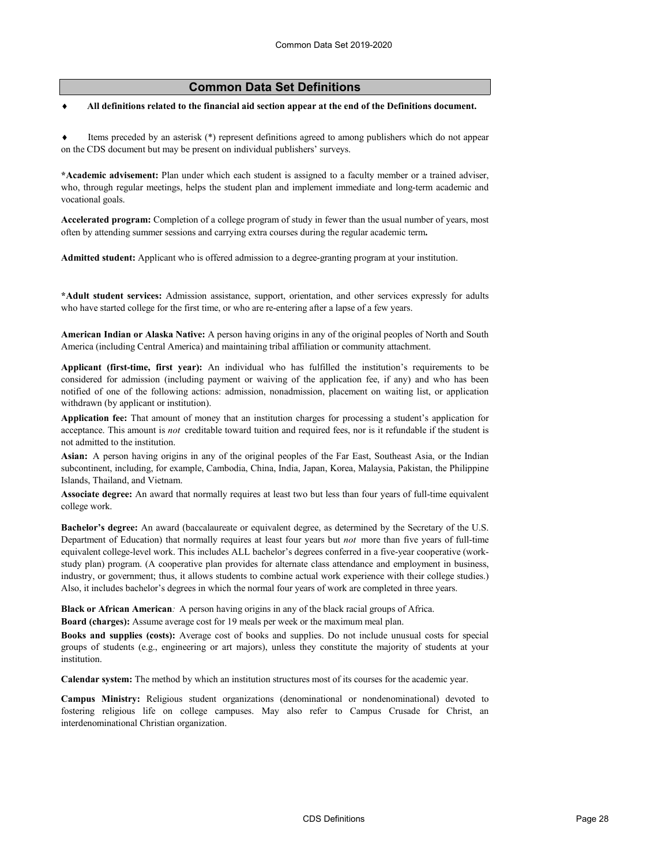# **Common Data Set Definitions**

♦ **All definitions related to the financial aid section appear at the end of the Definitions document.**

♦ Items preceded by an asterisk (\*) represent definitions agreed to among publishers which do not appear on the CDS document but may be present on individual publishers' surveys.

**\*Academic advisement:** Plan under which each student is assigned to a faculty member or a trained adviser, who, through regular meetings, helps the student plan and implement immediate and long-term academic and vocational goals.

**Accelerated program:** Completion of a college program of study in fewer than the usual number of years, most often by attending summer sessions and carrying extra courses during the regular academic term**.**

**Admitted student:** Applicant who is offered admission to a degree-granting program at your institution.

**\*Adult student services:** Admission assistance, support, orientation, and other services expressly for adults who have started college for the first time, or who are re-entering after a lapse of a few years.

**American Indian or Alaska Native:** A person having origins in any of the original peoples of North and South America (including Central America) and maintaining tribal affiliation or community attachment.

**Applicant (first-time, first year):** An individual who has fulfilled the institution's requirements to be considered for admission (including payment or waiving of the application fee, if any) and who has been notified of one of the following actions: admission, nonadmission, placement on waiting list, or application withdrawn (by applicant or institution).

**Application fee:** That amount of money that an institution charges for processing a student's application for acceptance. This amount is *not* creditable toward tuition and required fees, nor is it refundable if the student is not admitted to the institution.

**Asian:** A person having origins in any of the original peoples of the Far East, Southeast Asia, or the Indian subcontinent, including, for example, Cambodia, China, India, Japan, Korea, Malaysia, Pakistan, the Philippine Islands, Thailand, and Vietnam.

**Associate degree:** An award that normally requires at least two but less than four years of full-time equivalent college work.

**Bachelor's degree:** An award (baccalaureate or equivalent degree, as determined by the Secretary of the U.S. Department of Education) that normally requires at least four years but *not* more than five years of full-time equivalent college-level work. This includes ALL bachelor's degrees conferred in a five-year cooperative (workstudy plan) program. (A cooperative plan provides for alternate class attendance and employment in business, industry, or government; thus, it allows students to combine actual work experience with their college studies.) Also, it includes bachelor's degrees in which the normal four years of work are completed in three years.

**Black or African American***:* A person having origins in any of the black racial groups of Africa. **Board (charges):** Assume average cost for 19 meals per week or the maximum meal plan.

**Books and supplies (costs):** Average cost of books and supplies. Do not include unusual costs for special groups of students (e.g., engineering or art majors), unless they constitute the majority of students at your institution.

**Calendar system:** The method by which an institution structures most of its courses for the academic year.

**Campus Ministry:** Religious student organizations (denominational or nondenominational) devoted to fostering religious life on college campuses. May also refer to Campus Crusade for Christ, an interdenominational Christian organization.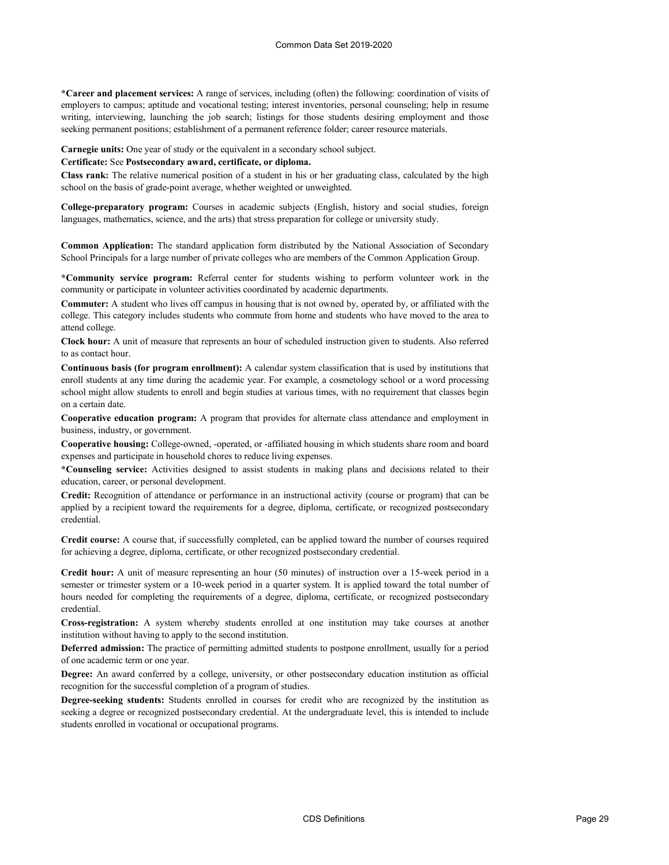**\*Career and placement services:** A range of services, including (often) the following: coordination of visits of employers to campus; aptitude and vocational testing; interest inventories, personal counseling; help in resume writing, interviewing, launching the job search; listings for those students desiring employment and those seeking permanent positions; establishment of a permanent reference folder; career resource materials.

**Carnegie units:** One year of study or the equivalent in a secondary school subject.

### **Certificate:** See **Postsecondary award, certificate, or diploma.**

**Class rank:** The relative numerical position of a student in his or her graduating class, calculated by the high school on the basis of grade-point average, whether weighted or unweighted.

**College-preparatory program:** Courses in academic subjects (English, history and social studies, foreign languages, mathematics, science, and the arts) that stress preparation for college or university study.

**Common Application:** The standard application form distributed by the National Association of Secondary School Principals for a large number of private colleges who are members of the Common Application Group.

**\*Community service program:** Referral center for students wishing to perform volunteer work in the community or participate in volunteer activities coordinated by academic departments.

**Commuter:** A student who lives off campus in housing that is not owned by, operated by, or affiliated with the college. This category includes students who commute from home and students who have moved to the area to attend college.

**Clock hour:** A unit of measure that represents an hour of scheduled instruction given to students. Also referred to as contact hour.

**Continuous basis (for program enrollment):** A calendar system classification that is used by institutions that enroll students at any time during the academic year. For example, a cosmetology school or a word processing school might allow students to enroll and begin studies at various times, with no requirement that classes begin on a certain date.

**Cooperative education program:** A program that provides for alternate class attendance and employment in business, industry, or government.

**Cooperative housing:** College-owned, -operated, or -affiliated housing in which students share room and board expenses and participate in household chores to reduce living expenses.

**\*Counseling service:** Activities designed to assist students in making plans and decisions related to their education, career, or personal development.

**Credit:** Recognition of attendance or performance in an instructional activity (course or program) that can be applied by a recipient toward the requirements for a degree, diploma, certificate, or recognized postsecondary credential.

**Credit course:** A course that, if successfully completed, can be applied toward the number of courses required for achieving a degree, diploma, certificate, or other recognized postsecondary credential.

**Credit hour:** A unit of measure representing an hour (50 minutes) of instruction over a 15-week period in a semester or trimester system or a 10-week period in a quarter system. It is applied toward the total number of hours needed for completing the requirements of a degree, diploma, certificate, or recognized postsecondary credential.

**Cross-registration:** A system whereby students enrolled at one institution may take courses at another institution without having to apply to the second institution.

**Deferred admission:** The practice of permitting admitted students to postpone enrollment, usually for a period of one academic term or one year.

**Degree:** An award conferred by a college, university, or other postsecondary education institution as official recognition for the successful completion of a program of studies.

**Degree-seeking students:** Students enrolled in courses for credit who are recognized by the institution as seeking a degree or recognized postsecondary credential. At the undergraduate level, this is intended to include students enrolled in vocational or occupational programs.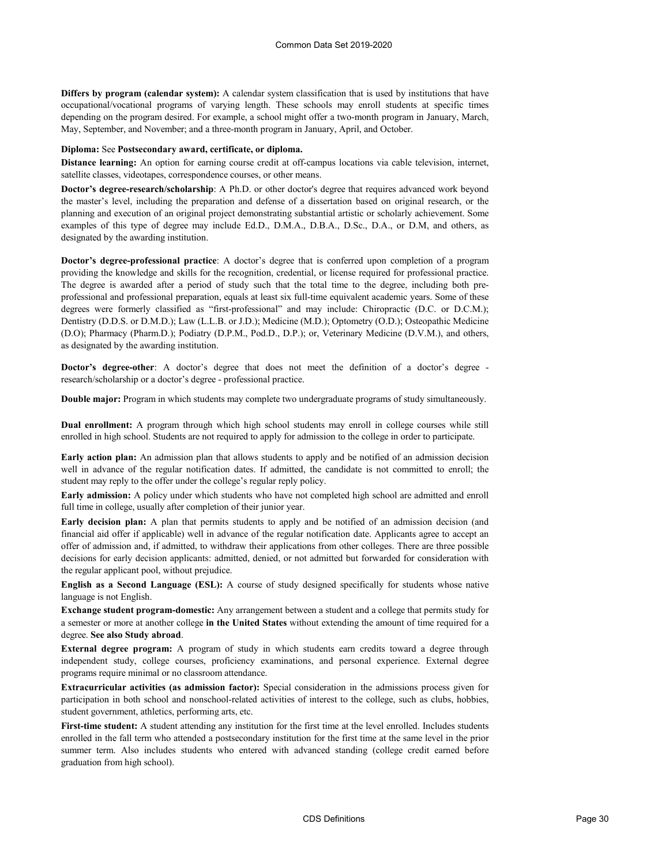**Differs by program (calendar system):** A calendar system classification that is used by institutions that have occupational/vocational programs of varying length. These schools may enroll students at specific times depending on the program desired. For example, a school might offer a two-month program in January, March, May, September, and November; and a three-month program in January, April, and October.

#### **Diploma:** See **Postsecondary award, certificate, or diploma.**

**Distance learning:** An option for earning course credit at off-campus locations via cable television, internet, satellite classes, videotapes, correspondence courses, or other means.

**Doctor's degree-research/scholarship**: A Ph.D. or other doctor's degree that requires advanced work beyond the master's level, including the preparation and defense of a dissertation based on original research, or the planning and execution of an original project demonstrating substantial artistic or scholarly achievement. Some examples of this type of degree may include Ed.D., D.M.A., D.B.A., D.Sc., D.A., or D.M, and others, as designated by the awarding institution.

**Doctor's degree-professional practice**: A doctor's degree that is conferred upon completion of a program providing the knowledge and skills for the recognition, credential, or license required for professional practice. The degree is awarded after a period of study such that the total time to the degree, including both preprofessional and professional preparation, equals at least six full-time equivalent academic years. Some of these degrees were formerly classified as "first-professional" and may include: Chiropractic (D.C. or D.C.M.); Dentistry (D.D.S. or D.M.D.); Law (L.L.B. or J.D.); Medicine (M.D.); Optometry (O.D.); Osteopathic Medicine (D.O); Pharmacy (Pharm.D.); Podiatry (D.P.M., Pod.D., D.P.); or, Veterinary Medicine (D.V.M.), and others, as designated by the awarding institution.

**Doctor's degree-other**: A doctor's degree that does not meet the definition of a doctor's degree research/scholarship or a doctor's degree - professional practice.

**Double major:** Program in which students may complete two undergraduate programs of study simultaneously.

**Dual enrollment:** A program through which high school students may enroll in college courses while still enrolled in high school. Students are not required to apply for admission to the college in order to participate.

**Early action plan:** An admission plan that allows students to apply and be notified of an admission decision well in advance of the regular notification dates. If admitted, the candidate is not committed to enroll; the student may reply to the offer under the college's regular reply policy.

**Early admission:** A policy under which students who have not completed high school are admitted and enroll full time in college, usually after completion of their junior year.

**Early decision plan:** A plan that permits students to apply and be notified of an admission decision (and financial aid offer if applicable) well in advance of the regular notification date. Applicants agree to accept an offer of admission and, if admitted, to withdraw their applications from other colleges. There are three possible decisions for early decision applicants: admitted, denied, or not admitted but forwarded for consideration with the regular applicant pool, without prejudice.

**English as a Second Language (ESL):** A course of study designed specifically for students whose native language is not English.

**Exchange student program-domestic:** Any arrangement between a student and a college that permits study for a semester or more at another college **in the United States** without extending the amount of time required for a degree. **See also Study abroad**.

**External degree program:** A program of study in which students earn credits toward a degree through independent study, college courses, proficiency examinations, and personal experience. External degree programs require minimal or no classroom attendance.

**Extracurricular activities (as admission factor):** Special consideration in the admissions process given for participation in both school and nonschool-related activities of interest to the college, such as clubs, hobbies, student government, athletics, performing arts, etc.

**First-time student:** A student attending any institution for the first time at the level enrolled. Includes students enrolled in the fall term who attended a postsecondary institution for the first time at the same level in the prior summer term. Also includes students who entered with advanced standing (college credit earned before graduation from high school).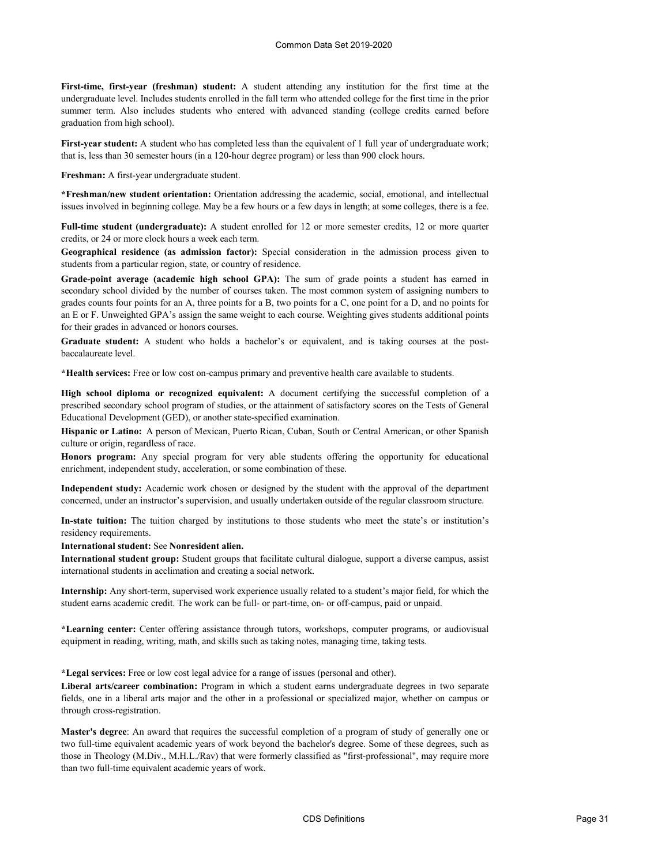**First-time, first-year (freshman) student:** A student attending any institution for the first time at the undergraduate level. Includes students enrolled in the fall term who attended college for the first time in the prior summer term. Also includes students who entered with advanced standing (college credits earned before graduation from high school).

**First-year student:** A student who has completed less than the equivalent of 1 full year of undergraduate work; that is, less than 30 semester hours (in a 120-hour degree program) or less than 900 clock hours.

**Freshman:** A first-year undergraduate student.

**\*Freshman/new student orientation:** Orientation addressing the academic, social, emotional, and intellectual issues involved in beginning college. May be a few hours or a few days in length; at some colleges, there is a fee.

**Full-time student (undergraduate):** A student enrolled for 12 or more semester credits, 12 or more quarter credits, or 24 or more clock hours a week each term.

**Geographical residence (as admission factor):** Special consideration in the admission process given to students from a particular region, state, or country of residence.

**Grade-point average (academic high school GPA):** The sum of grade points a student has earned in secondary school divided by the number of courses taken. The most common system of assigning numbers to grades counts four points for an A, three points for a B, two points for a C, one point for a D, and no points for an E or F. Unweighted GPA's assign the same weight to each course. Weighting gives students additional points for their grades in advanced or honors courses.

**Graduate student:** A student who holds a bachelor's or equivalent, and is taking courses at the postbaccalaureate level.

**\*Health services:** Free or low cost on-campus primary and preventive health care available to students.

**High school diploma or recognized equivalent:** A document certifying the successful completion of a prescribed secondary school program of studies, or the attainment of satisfactory scores on the Tests of General Educational Development (GED), or another state-specified examination.

**Hispanic or Latino:** A person of Mexican, Puerto Rican, Cuban, South or Central American, or other Spanish culture or origin, regardless of race.

**Honors program:** Any special program for very able students offering the opportunity for educational enrichment, independent study, acceleration, or some combination of these.

**Independent study:** Academic work chosen or designed by the student with the approval of the department concerned, under an instructor's supervision, and usually undertaken outside of the regular classroom structure.

**In-state tuition:** The tuition charged by institutions to those students who meet the state's or institution's residency requirements.

**International student:** See **Nonresident alien.**

**International student group:** Student groups that facilitate cultural dialogue, support a diverse campus, assist international students in acclimation and creating a social network.

**Internship:** Any short-term, supervised work experience usually related to a student's major field, for which the student earns academic credit. The work can be full- or part-time, on- or off-campus, paid or unpaid.

**\*Learning center:** Center offering assistance through tutors, workshops, computer programs, or audiovisual equipment in reading, writing, math, and skills such as taking notes, managing time, taking tests.

**\*Legal services:** Free or low cost legal advice for a range of issues (personal and other).

**Liberal arts/career combination:** Program in which a student earns undergraduate degrees in two separate fields, one in a liberal arts major and the other in a professional or specialized major, whether on campus or through cross‑registration.

**Master's degree**: An award that requires the successful completion of a program of study of generally one or two full-time equivalent academic years of work beyond the bachelor's degree. Some of these degrees, such as those in Theology (M.Div., M.H.L./Rav) that were formerly classified as "first-professional", may require more than two full-time equivalent academic years of work.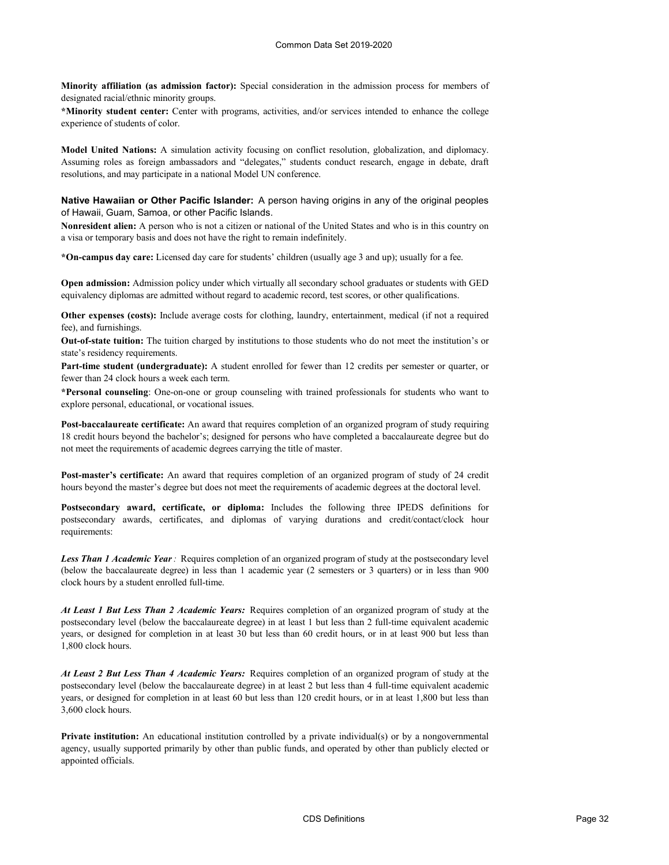**Minority affiliation (as admission factor):** Special consideration in the admission process for members of designated racial/ethnic minority groups.

**\*Minority student center:** Center with programs, activities, and/or services intended to enhance the college experience of students of color.

**Model United Nations:** A simulation activity focusing on conflict resolution, globalization, and diplomacy. Assuming roles as foreign ambassadors and "delegates," students conduct research, engage in debate, draft resolutions, and may participate in a national Model UN conference.

**Native Hawaiian or Other Pacific Islander:** A person having origins in any of the original peoples of Hawaii, Guam, Samoa, or other Pacific Islands.

**Nonresident alien:** A person who is not a citizen or national of the United States and who is in this country on a visa or temporary basis and does not have the right to remain indefinitely.

**\*On-campus day care:** Licensed day care for students' children (usually age 3 and up); usually for a fee.

**Open admission:** Admission policy under which virtually all secondary school graduates or students with GED equivalency diplomas are admitted without regard to academic record, test scores, or other qualifications.

**Other expenses (costs):** Include average costs for clothing, laundry, entertainment, medical (if not a required fee), and furnishings.

**Out-of-state tuition:** The tuition charged by institutions to those students who do not meet the institution's or state's residency requirements.

**Part-time student (undergraduate):** A student enrolled for fewer than 12 credits per semester or quarter, or fewer than 24 clock hours a week each term.

**\*Personal counseling**: One-on-one or group counseling with trained professionals for students who want to explore personal, educational, or vocational issues.

**Post-baccalaureate certificate:** An award that requires completion of an organized program of study requiring 18 credit hours beyond the bachelor's; designed for persons who have completed a baccalaureate degree but do not meet the requirements of academic degrees carrying the title of master.

**Post-master's certificate:** An award that requires completion of an organized program of study of 24 credit hours beyond the master's degree but does not meet the requirements of academic degrees at the doctoral level.

**Postsecondary award, certificate, or diploma:** Includes the following three IPEDS definitions for postsecondary awards, certificates, and diplomas of varying durations and credit/contact/clock hour requirements:

*Less Than 1 Academic Year:* Requires completion of an organized program of study at the postsecondary level (below the baccalaureate degree) in less than 1 academic year (2 semesters or 3 quarters) or in less than 900 clock hours by a student enrolled full-time.

*At Least 1 But Less Than 2 Academic Years:* Requires completion of an organized program of study at the postsecondary level (below the baccalaureate degree) in at least 1 but less than 2 full-time equivalent academic years, or designed for completion in at least 30 but less than 60 credit hours, or in at least 900 but less than 1,800 clock hours.

*At Least 2 But Less Than 4 Academic Years:* Requires completion of an organized program of study at the postsecondary level (below the baccalaureate degree) in at least 2 but less than 4 full-time equivalent academic years, or designed for completion in at least 60 but less than 120 credit hours, or in at least 1,800 but less than 3,600 clock hours.

**Private institution:** An educational institution controlled by a private individual(s) or by a nongovernmental agency, usually supported primarily by other than public funds, and operated by other than publicly elected or appointed officials.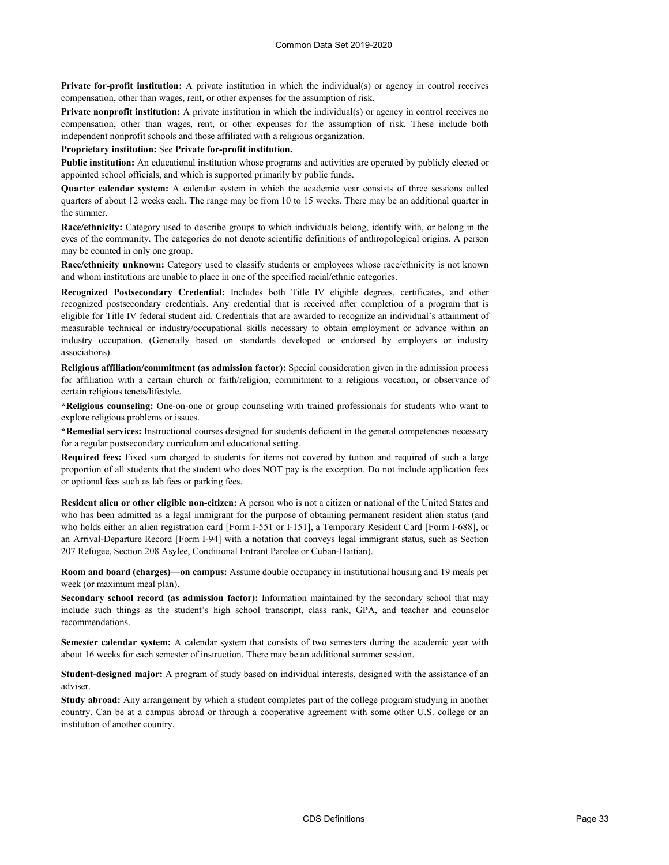**Private for-profit institution:** A private institution in which the individual(s) or agency in control receives compensation, other than wages, rent, or other expenses for the assumption of risk.

**Private nonprofit institution:** A private institution in which the individual(s) or agency in control receives no compensation, other than wages, rent, or other expenses for the assumption of risk. These include both independent nonprofit schools and those affiliated with a religious organization.

**Proprietary institution:** See **Private for-profit institution.**

**Public institution:** An educational institution whose programs and activities are operated by publicly elected or appointed school officials, and which is supported primarily by public funds.

**Quarter calendar system:** A calendar system in which the academic year consists of three sessions called quarters of about 12 weeks each. The range may be from 10 to 15 weeks. There may be an additional quarter in the summer.

**Race/ethnicity:** Category used to describe groups to which individuals belong, identify with, or belong in the eyes of the community. The categories do not denote scientific definitions of anthropological origins. A person may be counted in only one group.

**Race/ethnicity unknown:** Category used to classify students or employees whose race/ethnicity is not known and whom institutions are unable to place in one of the specified racial/ethnic categories.

**Recognized Postsecondary Credential:** Includes both Title IV eligible degrees, certificates, and other recognized postsecondary credentials. Any credential that is received after completion of a program that is eligible for Title IV federal student aid. Credentials that are awarded to recognize an individual's attainment of measurable technical or industry/occupational skills necessary to obtain employment or advance within an industry occupation. (Generally based on standards developed or endorsed by employers or industry associations).

**Religious affiliation/commitment (as admission factor):** Special consideration given in the admission process for affiliation with a certain church or faith/religion, commitment to a religious vocation, or observance of certain religious tenets/lifestyle.

**\*Religious counseling:** One-on-one or group counseling with trained professionals for students who want to explore religious problems or issues.

**\*Remedial services:** Instructional courses designed for students deficient in the general competencies necessary for a regular postsecondary curriculum and educational setting.

**Required fees:** Fixed sum charged to students for items not covered by tuition and required of such a large proportion of all students that the student who does NOT pay is the exception. Do not include application fees or optional fees such as lab fees or parking fees.

**Resident alien or other eligible non-citizen:** A person who is not a citizen or national of the United States and who has been admitted as a legal immigrant for the purpose of obtaining permanent resident alien status (and who holds either an alien registration card [Form I-551 or I-151], a Temporary Resident Card [Form I-688], or an Arrival-Departure Record [Form I-94] with a notation that conveys legal immigrant status, such as Section 207 Refugee, Section 208 Asylee, Conditional Entrant Parolee or Cuban-Haitian).

**Room and board (charges)—on campus:** Assume double occupancy in institutional housing and 19 meals per week (or maximum meal plan).

**Secondary school record (as admission factor):** Information maintained by the secondary school that may include such things as the student's high school transcript, class rank, GPA, and teacher and counselor recommendations.

**Semester calendar system:** A calendar system that consists of two semesters during the academic year with about 16 weeks for each semester of instruction. There may be an additional summer session.

**Student-designed major:** A program of study based on individual interests, designed with the assistance of an adviser.

**Study abroad:** Any arrangement by which a student completes part of the college program studying in another country. Can be at a campus abroad or through a cooperative agreement with some other U.S. college or an institution of another country.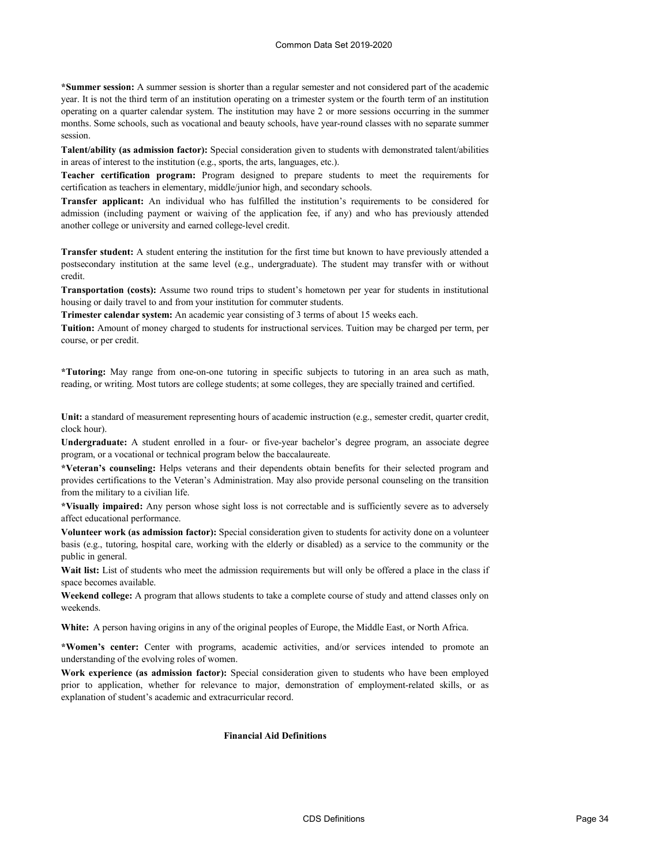**\*Summer session:** A summer session is shorter than a regular semester and not considered part of the academic year. It is not the third term of an institution operating on a trimester system or the fourth term of an institution operating on a quarter calendar system. The institution may have 2 or more sessions occurring in the summer months. Some schools, such as vocational and beauty schools, have year-round classes with no separate summer session.

**Talent/ability (as admission factor):** Special consideration given to students with demonstrated talent/abilities in areas of interest to the institution (e.g., sports, the arts, languages, etc.).

**Teacher certification program:** Program designed to prepare students to meet the requirements for certification as teachers in elementary, middle/junior high, and secondary schools.

**Transfer applicant:** An individual who has fulfilled the institution's requirements to be considered for admission (including payment or waiving of the application fee, if any) and who has previously attended another college or university and earned college-level credit.

**Transfer student:** A student entering the institution for the first time but known to have previously attended a postsecondary institution at the same level (e.g., undergraduate). The student may transfer with or without credit.

**Transportation (costs):** Assume two round trips to student's hometown per year for students in institutional housing or daily travel to and from your institution for commuter students.

**Trimester calendar system:** An academic year consisting of 3 terms of about 15 weeks each.

**Tuition:** Amount of money charged to students for instructional services. Tuition may be charged per term, per course, or per credit.

**\*Tutoring:** May range from one-on-one tutoring in specific subjects to tutoring in an area such as math, reading, or writing. Most tutors are college students; at some colleges, they are specially trained and certified.

**Unit:** a standard of measurement representing hours of academic instruction (e.g., semester credit, quarter credit, clock hour).

**Undergraduate:** A student enrolled in a four- or five-year bachelor's degree program, an associate degree program, or a vocational or technical program below the baccalaureate.

**\*Veteran's counseling:** Helps veterans and their dependents obtain benefits for their selected program and provides certifications to the Veteran's Administration. May also provide personal counseling on the transition from the military to a civilian life.

**\*Visually impaired:** Any person whose sight loss is not correctable and is sufficiently severe as to adversely affect educational performance.

**Volunteer work (as admission factor):** Special consideration given to students for activity done on a volunteer basis (e.g., tutoring, hospital care, working with the elderly or disabled) as a service to the community or the public in general.

**Wait list:** List of students who meet the admission requirements but will only be offered a place in the class if space becomes available.

**Weekend college:** A program that allows students to take a complete course of study and attend classes only on weekends.

**White:** A person having origins in any of the original peoples of Europe, the Middle East, or North Africa.

**\*Women's center:** Center with programs, academic activities, and/or services intended to promote an understanding of the evolving roles of women.

**Work experience (as admission factor):** Special consideration given to students who have been employed prior to application, whether for relevance to major, demonstration of employment-related skills, or as explanation of student's academic and extracurricular record.

### **Financial Aid Definitions**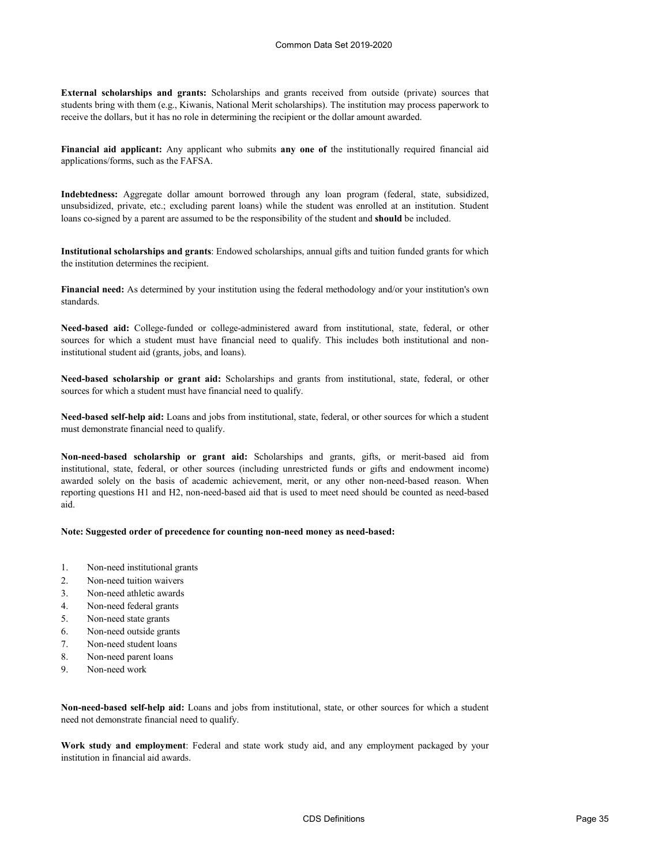**External scholarships and grants:** Scholarships and grants received from outside (private) sources that students bring with them (e.g., Kiwanis, National Merit scholarships). The institution may process paperwork to receive the dollars, but it has no role in determining the recipient or the dollar amount awarded.

**Financial aid applicant:** Any applicant who submits **any one of** the institutionally required financial aid applications/forms, such as the FAFSA.

**Indebtedness:** Aggregate dollar amount borrowed through any loan program (federal, state, subsidized, unsubsidized, private, etc.; excluding parent loans) while the student was enrolled at an institution. Student loans co-signed by a parent are assumed to be the responsibility of the student and **should** be included.

**Institutional scholarships and grants**: Endowed scholarships, annual gifts and tuition funded grants for which the institution determines the recipient.

**Financial need:** As determined by your institution using the federal methodology and/or your institution's own standards.

**Need-based aid:** College-funded or college-administered award from institutional, state, federal, or other sources for which a student must have financial need to qualify. This includes both institutional and noninstitutional student aid (grants, jobs, and loans).

**Need-based scholarship or grant aid:** Scholarships and grants from institutional, state, federal, or other sources for which a student must have financial need to qualify.

**Need-based self-help aid:** Loans and jobs from institutional, state, federal, or other sources for which a student must demonstrate financial need to qualify.

**Non-need-based scholarship or grant aid:** Scholarships and grants, gifts, or merit-based aid from institutional, state, federal, or other sources (including unrestricted funds or gifts and endowment income) awarded solely on the basis of academic achievement, merit, or any other non-need-based reason. When reporting questions H1 and H2, non-need-based aid that is used to meet need should be counted as need-based aid.

## **Note: Suggested order of precedence for counting non-need money as need-based:**

- 1. Non-need institutional grants
- 2. Non-need tuition waivers
- 3. Non-need athletic awards
- 4. Non-need federal grants
- 5. Non-need state grants
- 6. Non-need outside grants
- 7. Non-need student loans
- 8. Non-need parent loans
- 9. Non-need work

**Non-need-based self-help aid:** Loans and jobs from institutional, state, or other sources for which a student need not demonstrate financial need to qualify.

**Work study and employment**: Federal and state work study aid, and any employment packaged by your institution in financial aid awards.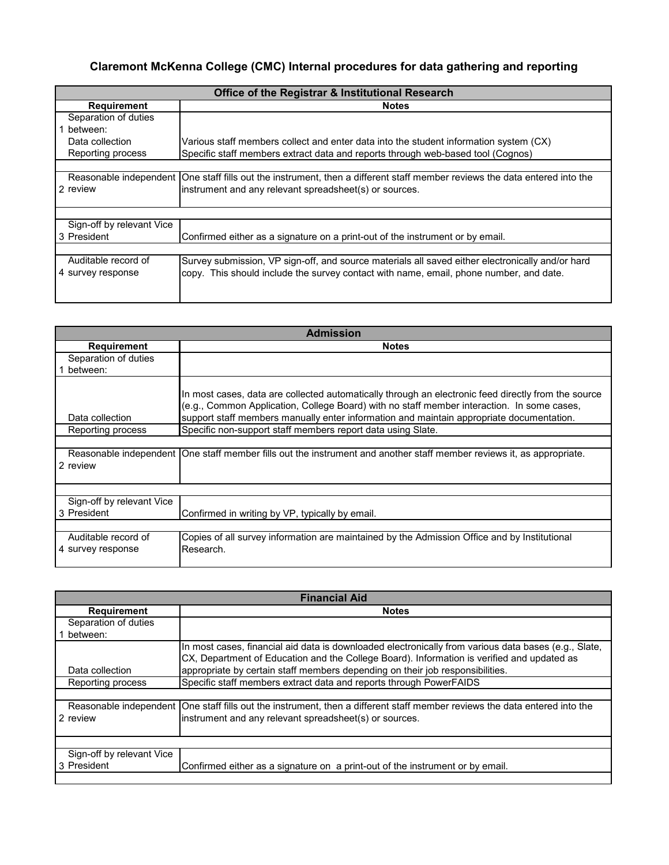# **Claremont McKenna College (CMC) Internal procedures for data gathering and reporting**

| Office of the Registrar & Institutional Research |                                                                                                                            |  |  |  |  |  |
|--------------------------------------------------|----------------------------------------------------------------------------------------------------------------------------|--|--|--|--|--|
| <b>Requirement</b>                               | <b>Notes</b>                                                                                                               |  |  |  |  |  |
| Separation of duties                             |                                                                                                                            |  |  |  |  |  |
| between:                                         |                                                                                                                            |  |  |  |  |  |
| Data collection                                  | Various staff members collect and enter data into the student information system (CX)                                      |  |  |  |  |  |
| Reporting process                                | Specific staff members extract data and reports through web-based tool (Cognos)                                            |  |  |  |  |  |
|                                                  |                                                                                                                            |  |  |  |  |  |
|                                                  | Reasonable independent One staff fills out the instrument, then a different staff member reviews the data entered into the |  |  |  |  |  |
| 2 review                                         | instrument and any relevant spreadsheet(s) or sources.                                                                     |  |  |  |  |  |
|                                                  |                                                                                                                            |  |  |  |  |  |
|                                                  |                                                                                                                            |  |  |  |  |  |
| Sign-off by relevant Vice                        |                                                                                                                            |  |  |  |  |  |
| 3 President                                      | Confirmed either as a signature on a print-out of the instrument or by email.                                              |  |  |  |  |  |
|                                                  |                                                                                                                            |  |  |  |  |  |
| Auditable record of                              | Survey submission, VP sign-off, and source materials all saved either electronically and/or hard                           |  |  |  |  |  |
| 4 survey response                                | copy. This should include the survey contact with name, email, phone number, and date.                                     |  |  |  |  |  |
|                                                  |                                                                                                                            |  |  |  |  |  |
|                                                  |                                                                                                                            |  |  |  |  |  |

| <b>Admission</b>                                                                                                                    |                                                                                                                                                                                                                                                                                               |  |  |  |  |
|-------------------------------------------------------------------------------------------------------------------------------------|-----------------------------------------------------------------------------------------------------------------------------------------------------------------------------------------------------------------------------------------------------------------------------------------------|--|--|--|--|
| <b>Requirement</b>                                                                                                                  | <b>Notes</b>                                                                                                                                                                                                                                                                                  |  |  |  |  |
| Separation of duties                                                                                                                |                                                                                                                                                                                                                                                                                               |  |  |  |  |
| between:                                                                                                                            |                                                                                                                                                                                                                                                                                               |  |  |  |  |
| Data collection                                                                                                                     | In most cases, data are collected automatically through an electronic feed directly from the source<br>(e.g., Common Application, College Board) with no staff member interaction. In some cases,<br>support staff members manually enter information and maintain appropriate documentation. |  |  |  |  |
| Reporting process                                                                                                                   | Specific non-support staff members report data using Slate.                                                                                                                                                                                                                                   |  |  |  |  |
|                                                                                                                                     |                                                                                                                                                                                                                                                                                               |  |  |  |  |
| Reasonable independent   One staff member fills out the instrument and another staff member reviews it, as appropriate.<br>2 review |                                                                                                                                                                                                                                                                                               |  |  |  |  |
|                                                                                                                                     |                                                                                                                                                                                                                                                                                               |  |  |  |  |
| Sign-off by relevant Vice<br>3 President                                                                                            | Confirmed in writing by VP, typically by email.                                                                                                                                                                                                                                               |  |  |  |  |
|                                                                                                                                     |                                                                                                                                                                                                                                                                                               |  |  |  |  |
| Auditable record of                                                                                                                 | Copies of all survey information are maintained by the Admission Office and by Institutional                                                                                                                                                                                                  |  |  |  |  |
| 4 survey response                                                                                                                   | Research.                                                                                                                                                                                                                                                                                     |  |  |  |  |

| <b>Financial Aid</b>      |                                                                                                                                                                                                    |  |
|---------------------------|----------------------------------------------------------------------------------------------------------------------------------------------------------------------------------------------------|--|
| <b>Requirement</b>        | <b>Notes</b>                                                                                                                                                                                       |  |
| Separation of duties      |                                                                                                                                                                                                    |  |
| between:                  |                                                                                                                                                                                                    |  |
|                           | In most cases, financial aid data is downloaded electronically from various data bases (e.g., Slate,<br>CX, Department of Education and the College Board). Information is verified and updated as |  |
| Data collection           | appropriate by certain staff members depending on their job responsibilities.                                                                                                                      |  |
| Reporting process         | Specific staff members extract data and reports through PowerFAIDS                                                                                                                                 |  |
|                           |                                                                                                                                                                                                    |  |
| 2 review                  | Reasonable independent  One staff fills out the instrument, then a different staff member reviews the data entered into the<br>instrument and any relevant spreadsheet(s) or sources.              |  |
|                           |                                                                                                                                                                                                    |  |
| Sign-off by relevant Vice |                                                                                                                                                                                                    |  |
| 3 President               | Confirmed either as a signature on a print-out of the instrument or by email.                                                                                                                      |  |
|                           |                                                                                                                                                                                                    |  |